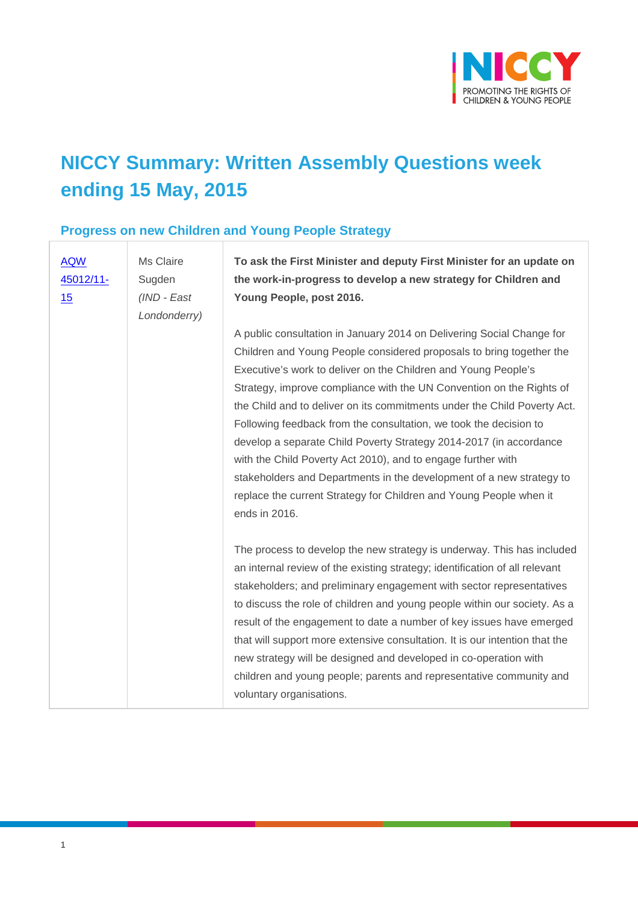

# **NICCY Summary: Written Assembly Questions week ending 15 May, 2015**

#### **Progress on new Children and Young People Strategy**

| <b>AQW</b><br>45012/11-<br>15 | Ms Claire<br>Sugden<br>(IND - East<br>Londonderry) | To ask the First Minister and deputy First Minister for an update on<br>the work-in-progress to develop a new strategy for Children and<br>Young People, post 2016.                                                                                                                                                                                                                                                                                                                                                                                                                                                                                                                                                                           |
|-------------------------------|----------------------------------------------------|-----------------------------------------------------------------------------------------------------------------------------------------------------------------------------------------------------------------------------------------------------------------------------------------------------------------------------------------------------------------------------------------------------------------------------------------------------------------------------------------------------------------------------------------------------------------------------------------------------------------------------------------------------------------------------------------------------------------------------------------------|
|                               |                                                    | A public consultation in January 2014 on Delivering Social Change for<br>Children and Young People considered proposals to bring together the<br>Executive's work to deliver on the Children and Young People's<br>Strategy, improve compliance with the UN Convention on the Rights of<br>the Child and to deliver on its commitments under the Child Poverty Act.<br>Following feedback from the consultation, we took the decision to<br>develop a separate Child Poverty Strategy 2014-2017 (in accordance<br>with the Child Poverty Act 2010), and to engage further with<br>stakeholders and Departments in the development of a new strategy to<br>replace the current Strategy for Children and Young People when it<br>ends in 2016. |
|                               |                                                    | The process to develop the new strategy is underway. This has included<br>an internal review of the existing strategy; identification of all relevant<br>stakeholders; and preliminary engagement with sector representatives<br>to discuss the role of children and young people within our society. As a<br>result of the engagement to date a number of key issues have emerged<br>that will support more extensive consultation. It is our intention that the<br>new strategy will be designed and developed in co-operation with<br>children and young people; parents and representative community and<br>voluntary organisations.                                                                                                      |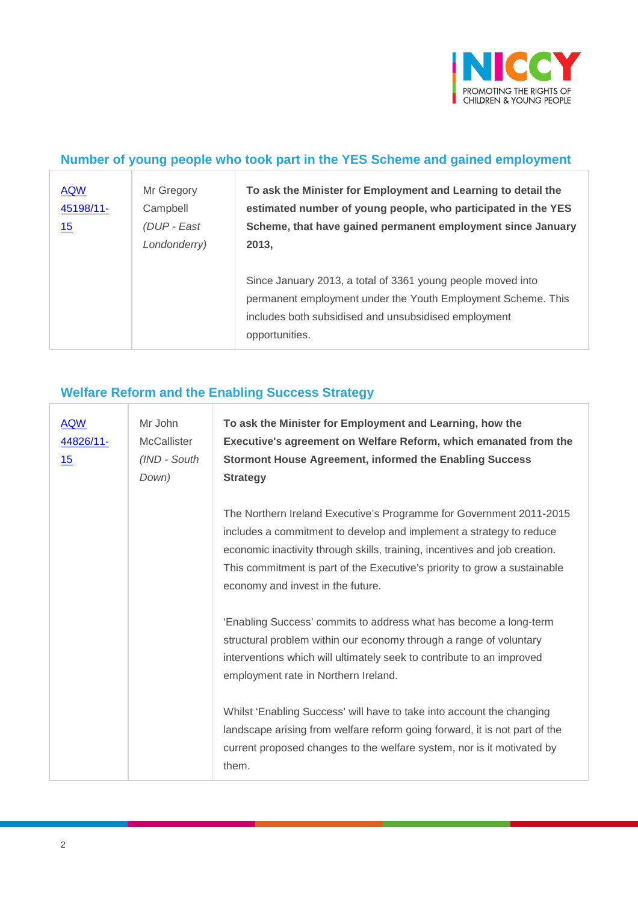

#### **Number of young people who took part in the YES Scheme and gained employment**

| <b>AQW</b><br>45198/11-<br>15 | Mr Gregory<br>Campbell<br>(DUP - East<br>Londonderry) | To ask the Minister for Employment and Learning to detail the<br>estimated number of young people, who participated in the YES<br>Scheme, that have gained permanent employment since January<br>2013, |
|-------------------------------|-------------------------------------------------------|--------------------------------------------------------------------------------------------------------------------------------------------------------------------------------------------------------|
|                               |                                                       | Since January 2013, a total of 3361 young people moved into<br>permanent employment under the Youth Employment Scheme. This<br>includes both subsidised and unsubsidised employment<br>opportunities.  |

#### **Welfare Reform and the Enabling Success Strategy**

| <b>AQW</b><br>44826/11-<br>15 | Mr John<br><b>McCallister</b><br>(IND - South<br>Down) | To ask the Minister for Employment and Learning, how the<br>Executive's agreement on Welfare Reform, which emanated from the<br><b>Stormont House Agreement, informed the Enabling Success</b><br><b>Strategy</b>                                                                                                                          |
|-------------------------------|--------------------------------------------------------|--------------------------------------------------------------------------------------------------------------------------------------------------------------------------------------------------------------------------------------------------------------------------------------------------------------------------------------------|
|                               |                                                        | The Northern Ireland Executive's Programme for Government 2011-2015<br>includes a commitment to develop and implement a strategy to reduce<br>economic inactivity through skills, training, incentives and job creation.<br>This commitment is part of the Executive's priority to grow a sustainable<br>economy and invest in the future. |
|                               |                                                        | 'Enabling Success' commits to address what has become a long-term<br>structural problem within our economy through a range of voluntary<br>interventions which will ultimately seek to contribute to an improved<br>employment rate in Northern Ireland.                                                                                   |
|                               |                                                        | Whilst 'Enabling Success' will have to take into account the changing<br>landscape arising from welfare reform going forward, it is not part of the<br>current proposed changes to the welfare system, nor is it motivated by<br>them.                                                                                                     |

 $\overline{1}$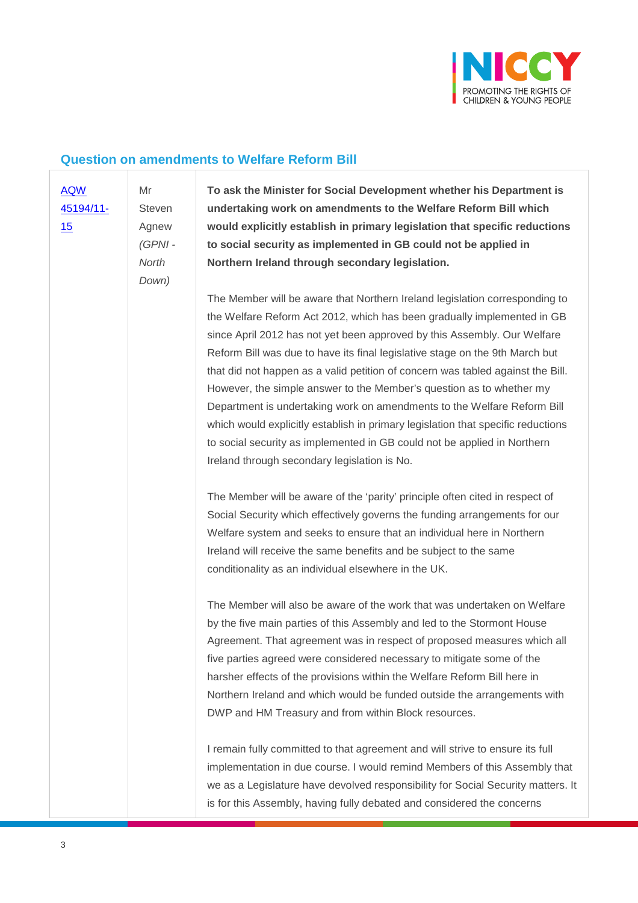

#### **Question on amendments to Welfare Reform Bill**

[AQW](javascript:__doPostBack()  [45194/11-](javascript:__doPostBack()

[15](javascript:__doPostBack()

Agnew *(GPNI - North Down)*

Mr Steven **To ask the Minister for Social Development whether his Department is undertaking work on amendments to the Welfare Reform Bill which would explicitly establish in primary legislation that specific reductions to social security as implemented in GB could not be applied in Northern Ireland through secondary legislation.**

The Member will be aware that Northern Ireland legislation corresponding to the Welfare Reform Act 2012, which has been gradually implemented in GB since April 2012 has not yet been approved by this Assembly. Our Welfare Reform Bill was due to have its final legislative stage on the 9th March but that did not happen as a valid petition of concern was tabled against the Bill. However, the simple answer to the Member's question as to whether my Department is undertaking work on amendments to the Welfare Reform Bill which would explicitly establish in primary legislation that specific reductions to social security as implemented in GB could not be applied in Northern Ireland through secondary legislation is No.

The Member will be aware of the 'parity' principle often cited in respect of Social Security which effectively governs the funding arrangements for our Welfare system and seeks to ensure that an individual here in Northern Ireland will receive the same benefits and be subject to the same conditionality as an individual elsewhere in the UK.

The Member will also be aware of the work that was undertaken on Welfare by the five main parties of this Assembly and led to the Stormont House Agreement. That agreement was in respect of proposed measures which all five parties agreed were considered necessary to mitigate some of the harsher effects of the provisions within the Welfare Reform Bill here in Northern Ireland and which would be funded outside the arrangements with DWP and HM Treasury and from within Block resources.

I remain fully committed to that agreement and will strive to ensure its full implementation in due course. I would remind Members of this Assembly that we as a Legislature have devolved responsibility for Social Security matters. It is for this Assembly, having fully debated and considered the concerns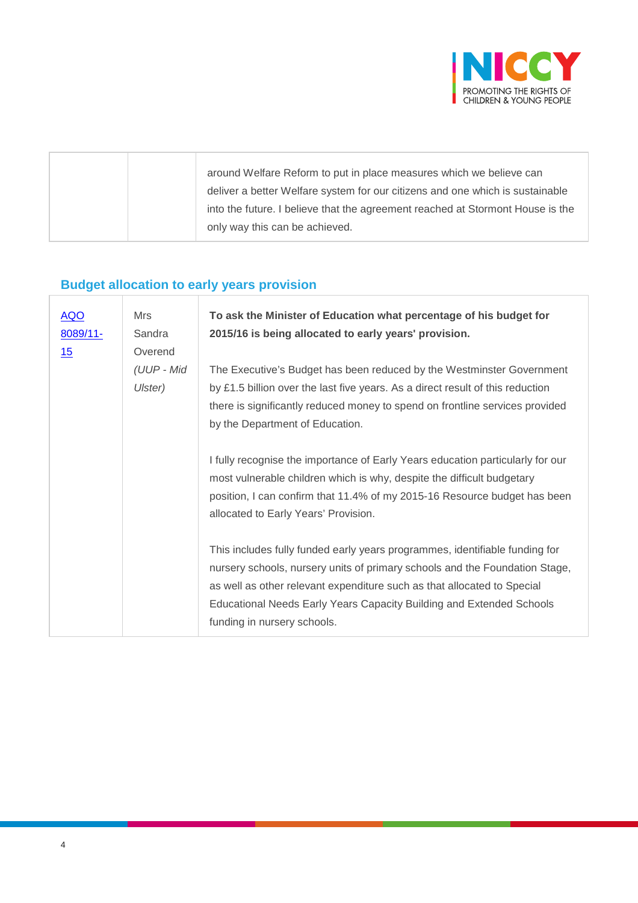

|  | around Welfare Reform to put in place measures which we believe can            |
|--|--------------------------------------------------------------------------------|
|  | deliver a better Welfare system for our citizens and one which is sustainable  |
|  | into the future. I believe that the agreement reached at Stormont House is the |
|  | only way this can be achieved.                                                 |
|  |                                                                                |

## **Budget allocation to early years provision**

| <b>AQO</b><br>8089/11-<br>15 | Mrs<br>Sandra<br>Overend | To ask the Minister of Education what percentage of his budget for<br>2015/16 is being allocated to early years' provision.                                                                                                                                                                                                                  |
|------------------------------|--------------------------|----------------------------------------------------------------------------------------------------------------------------------------------------------------------------------------------------------------------------------------------------------------------------------------------------------------------------------------------|
|                              | (UUP - Mid<br>Ulster)    | The Executive's Budget has been reduced by the Westminster Government<br>by £1.5 billion over the last five years. As a direct result of this reduction<br>there is significantly reduced money to spend on frontline services provided<br>by the Department of Education.                                                                   |
|                              |                          | I fully recognise the importance of Early Years education particularly for our<br>most vulnerable children which is why, despite the difficult budgetary<br>position, I can confirm that 11.4% of my 2015-16 Resource budget has been<br>allocated to Early Years' Provision.                                                                |
|                              |                          | This includes fully funded early years programmes, identifiable funding for<br>nursery schools, nursery units of primary schools and the Foundation Stage,<br>as well as other relevant expenditure such as that allocated to Special<br>Educational Needs Early Years Capacity Building and Extended Schools<br>funding in nursery schools. |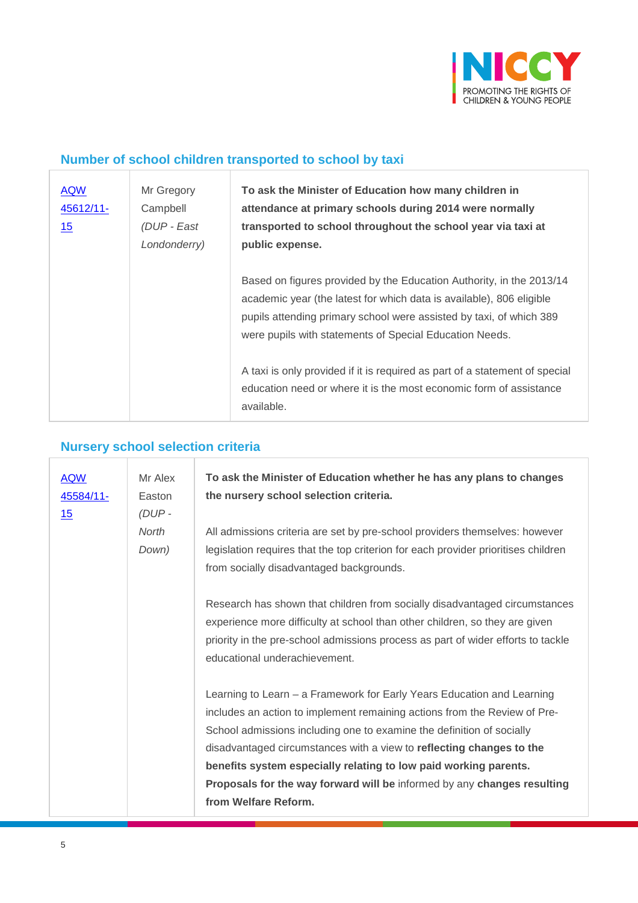

## **Number of school children transported to school by taxi**

| <b>AQW</b><br>45612/11-<br>15 | Mr Gregory<br>Campbell<br>(DUP - East<br>Londonderry) | To ask the Minister of Education how many children in<br>attendance at primary schools during 2014 were normally<br>transported to school throughout the school year via taxi at<br>public expense.                                                                            |
|-------------------------------|-------------------------------------------------------|--------------------------------------------------------------------------------------------------------------------------------------------------------------------------------------------------------------------------------------------------------------------------------|
|                               |                                                       | Based on figures provided by the Education Authority, in the 2013/14<br>academic year (the latest for which data is available), 806 eligible<br>pupils attending primary school were assisted by taxi, of which 389<br>were pupils with statements of Special Education Needs. |
|                               |                                                       | A taxi is only provided if it is required as part of a statement of special<br>education need or where it is the most economic form of assistance<br>available.                                                                                                                |

# **Nursery school selection criteria**

| <b>AQW</b><br>45584/11-<br><u>15</u> | Mr Alex<br>Easton<br>$(DUP -$ | To ask the Minister of Education whether he has any plans to changes<br>the nursery school selection criteria.                                                                                                                                                                                                                                                                                                                                                              |
|--------------------------------------|-------------------------------|-----------------------------------------------------------------------------------------------------------------------------------------------------------------------------------------------------------------------------------------------------------------------------------------------------------------------------------------------------------------------------------------------------------------------------------------------------------------------------|
|                                      | North<br>Down)                | All admissions criteria are set by pre-school providers themselves: however<br>legislation requires that the top criterion for each provider prioritises children<br>from socially disadvantaged backgrounds.                                                                                                                                                                                                                                                               |
|                                      |                               | Research has shown that children from socially disadvantaged circumstances<br>experience more difficulty at school than other children, so they are given<br>priority in the pre-school admissions process as part of wider efforts to tackle<br>educational underachievement.                                                                                                                                                                                              |
|                                      |                               | Learning to Learn – a Framework for Early Years Education and Learning<br>includes an action to implement remaining actions from the Review of Pre-<br>School admissions including one to examine the definition of socially<br>disadvantaged circumstances with a view to reflecting changes to the<br>benefits system especially relating to low paid working parents.<br>Proposals for the way forward will be informed by any changes resulting<br>from Welfare Reform. |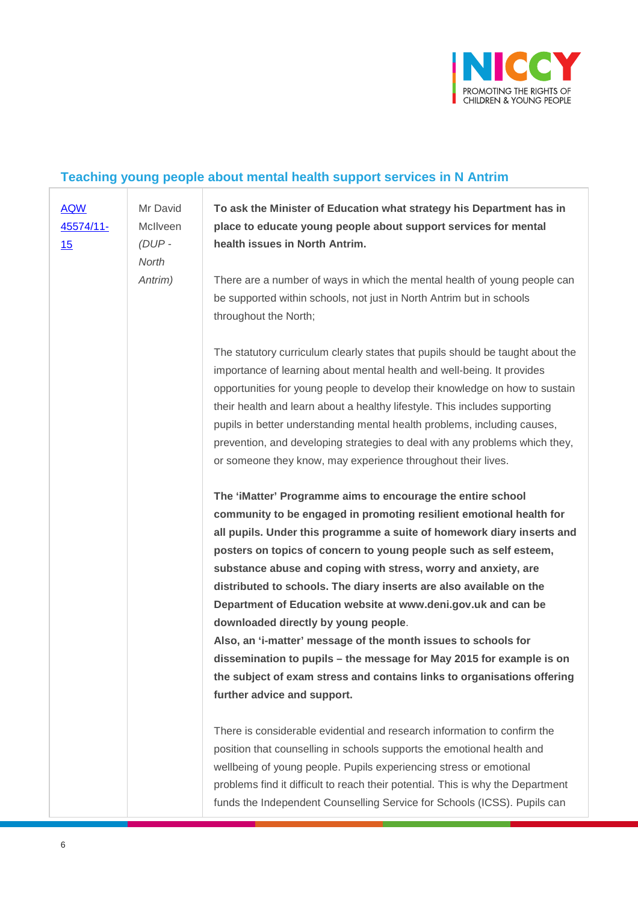

## **Teaching young people about mental health support services in N Antrim**

| <b>AQW</b> | Mr David | To ask the Minister of Education what strategy his Department has in            |
|------------|----------|---------------------------------------------------------------------------------|
| 45574/11-  | McIlveen | place to educate young people about support services for mental                 |
| 15         | $(DUP -$ | health issues in North Antrim.                                                  |
|            | North    |                                                                                 |
|            | Antrim)  | There are a number of ways in which the mental health of young people can       |
|            |          | be supported within schools, not just in North Antrim but in schools            |
|            |          | throughout the North;                                                           |
|            |          |                                                                                 |
|            |          | The statutory curriculum clearly states that pupils should be taught about the  |
|            |          | importance of learning about mental health and well-being. It provides          |
|            |          | opportunities for young people to develop their knowledge on how to sustain     |
|            |          | their health and learn about a healthy lifestyle. This includes supporting      |
|            |          | pupils in better understanding mental health problems, including causes,        |
|            |          | prevention, and developing strategies to deal with any problems which they,     |
|            |          | or someone they know, may experience throughout their lives.                    |
|            |          |                                                                                 |
|            |          | The 'iMatter' Programme aims to encourage the entire school                     |
|            |          | community to be engaged in promoting resilient emotional health for             |
|            |          | all pupils. Under this programme a suite of homework diary inserts and          |
|            |          | posters on topics of concern to young people such as self esteem,               |
|            |          | substance abuse and coping with stress, worry and anxiety, are                  |
|            |          | distributed to schools. The diary inserts are also available on the             |
|            |          | Department of Education website at www.deni.gov.uk and can be                   |
|            |          | downloaded directly by young people.                                            |
|            |          | Also, an 'i-matter' message of the month issues to schools for                  |
|            |          | dissemination to pupils - the message for May 2015 for example is on            |
|            |          | the subject of exam stress and contains links to organisations offering         |
|            |          | further advice and support.                                                     |
|            |          |                                                                                 |
|            |          | There is considerable evidential and research information to confirm the        |
|            |          | position that counselling in schools supports the emotional health and          |
|            |          | wellbeing of young people. Pupils experiencing stress or emotional              |
|            |          | problems find it difficult to reach their potential. This is why the Department |
|            |          | funds the Independent Counselling Service for Schools (ICSS). Pupils can        |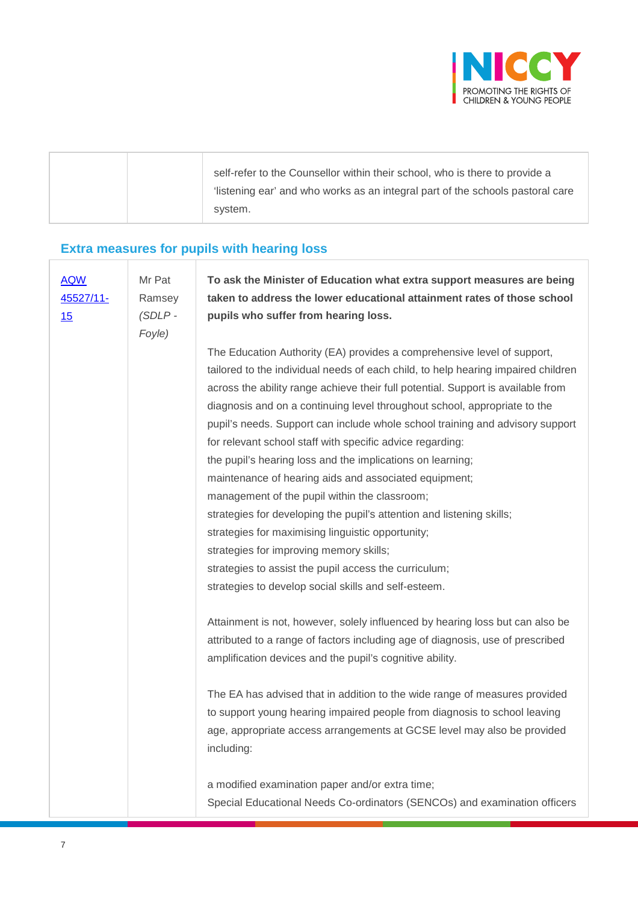

|  | self-refer to the Counsellor within their school, who is there to provide a   |
|--|-------------------------------------------------------------------------------|
|  | listening ear' and who works as an integral part of the schools pastoral care |
|  | system.                                                                       |

## **Extra measures for pupils with hearing loss**

| <b>AQW</b><br>45527/11-<br>15 | Mr Pat<br>Ramsey<br>$(SDLP -$ | To ask the Minister of Education what extra support measures are being<br>taken to address the lower educational attainment rates of those school<br>pupils who suffer from hearing loss.                                                                                                                                                                                                                                                                                                                                                                                                                                                                                                                                                                                                                                                                                             |
|-------------------------------|-------------------------------|---------------------------------------------------------------------------------------------------------------------------------------------------------------------------------------------------------------------------------------------------------------------------------------------------------------------------------------------------------------------------------------------------------------------------------------------------------------------------------------------------------------------------------------------------------------------------------------------------------------------------------------------------------------------------------------------------------------------------------------------------------------------------------------------------------------------------------------------------------------------------------------|
|                               | Foyle)                        | The Education Authority (EA) provides a comprehensive level of support,<br>tailored to the individual needs of each child, to help hearing impaired children<br>across the ability range achieve their full potential. Support is available from<br>diagnosis and on a continuing level throughout school, appropriate to the<br>pupil's needs. Support can include whole school training and advisory support<br>for relevant school staff with specific advice regarding:<br>the pupil's hearing loss and the implications on learning;<br>maintenance of hearing aids and associated equipment;<br>management of the pupil within the classroom;<br>strategies for developing the pupil's attention and listening skills;<br>strategies for maximising linguistic opportunity;<br>strategies for improving memory skills;<br>strategies to assist the pupil access the curriculum; |
|                               |                               | strategies to develop social skills and self-esteem.                                                                                                                                                                                                                                                                                                                                                                                                                                                                                                                                                                                                                                                                                                                                                                                                                                  |
|                               |                               | Attainment is not, however, solely influenced by hearing loss but can also be<br>attributed to a range of factors including age of diagnosis, use of prescribed<br>amplification devices and the pupil's cognitive ability.                                                                                                                                                                                                                                                                                                                                                                                                                                                                                                                                                                                                                                                           |
|                               |                               | The EA has advised that in addition to the wide range of measures provided<br>to support young hearing impaired people from diagnosis to school leaving<br>age, appropriate access arrangements at GCSE level may also be provided<br>including:                                                                                                                                                                                                                                                                                                                                                                                                                                                                                                                                                                                                                                      |
|                               |                               | a modified examination paper and/or extra time;<br>Special Educational Needs Co-ordinators (SENCOs) and examination officers                                                                                                                                                                                                                                                                                                                                                                                                                                                                                                                                                                                                                                                                                                                                                          |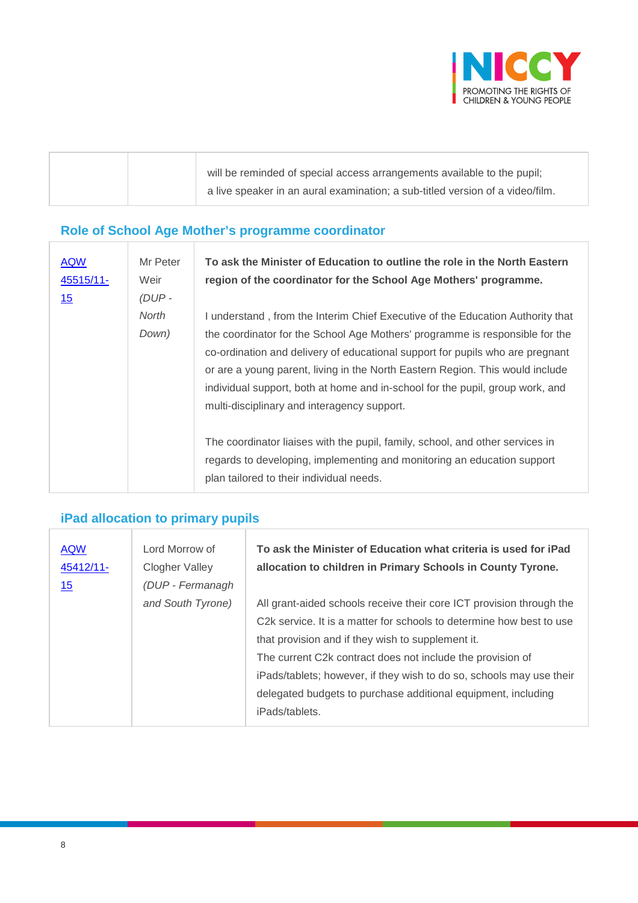

|  | will be reminded of special access arrangements available to the pupil;       |
|--|-------------------------------------------------------------------------------|
|  | a live speaker in an aural examination; a sub-titled version of a video/film. |

#### **Role of School Age Mother's programme coordinator**

| <b>AQW</b><br>45515/11-<br><u>15</u> | Mr Peter<br>Weir<br>$(DUP -$ | To ask the Minister of Education to outline the role in the North Eastern<br>region of the coordinator for the School Age Mothers' programme.                                                                                                                                                                                                                                                                                                                    |
|--------------------------------------|------------------------------|------------------------------------------------------------------------------------------------------------------------------------------------------------------------------------------------------------------------------------------------------------------------------------------------------------------------------------------------------------------------------------------------------------------------------------------------------------------|
|                                      | North<br>Down)               | I understand, from the Interim Chief Executive of the Education Authority that<br>the coordinator for the School Age Mothers' programme is responsible for the<br>co-ordination and delivery of educational support for pupils who are pregnant<br>or are a young parent, living in the North Eastern Region. This would include<br>individual support, both at home and in-school for the pupil, group work, and<br>multi-disciplinary and interagency support. |
|                                      |                              | The coordinator liaises with the pupil, family, school, and other services in<br>regards to developing, implementing and monitoring an education support<br>plan tailored to their individual needs.                                                                                                                                                                                                                                                             |

## **iPad allocation to primary pupils**

| <b>AQW</b><br>45412/11-<br><u> 15</u> | Lord Morrow of<br>Clogher Valley<br>(DUP - Fermanagh | To ask the Minister of Education what criteria is used for iPad<br>allocation to children in Primary Schools in County Tyrone.                                                                                                                                                                                                                                                                                                          |
|---------------------------------------|------------------------------------------------------|-----------------------------------------------------------------------------------------------------------------------------------------------------------------------------------------------------------------------------------------------------------------------------------------------------------------------------------------------------------------------------------------------------------------------------------------|
|                                       | and South Tyrone)                                    | All grant-aided schools receive their core ICT provision through the<br>C <sub>2</sub> k service. It is a matter for schools to determine how best to use<br>that provision and if they wish to supplement it.<br>The current C2k contract does not include the provision of<br>iPads/tablets; however, if they wish to do so, schools may use their<br>delegated budgets to purchase additional equipment, including<br>iPads/tablets. |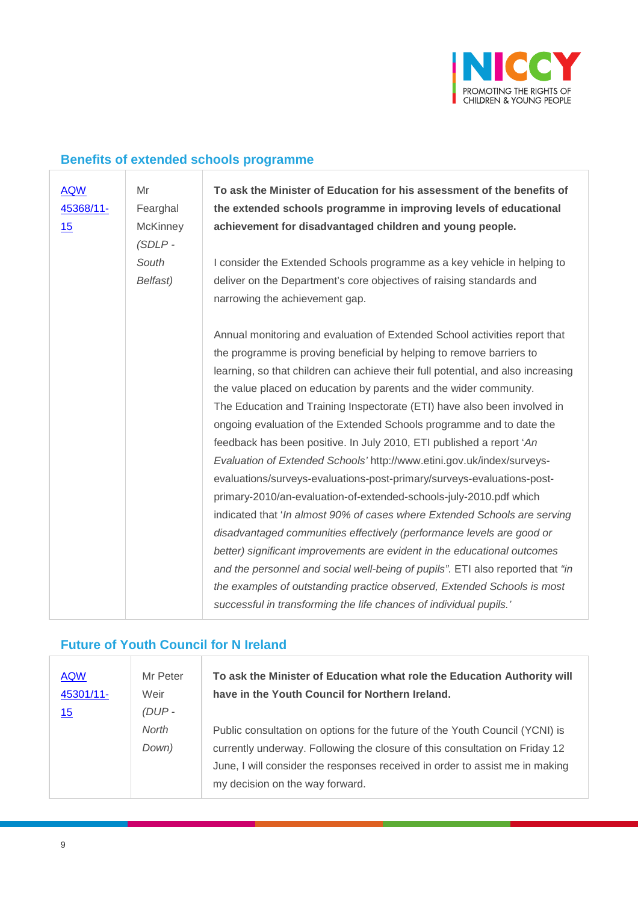

#### **Benefits of extended schools programme**

| <b>AQW</b> | Mr              | To ask the Minister of Education for his assessment of the benefits of           |
|------------|-----------------|----------------------------------------------------------------------------------|
| 45368/11-  | Fearghal        | the extended schools programme in improving levels of educational                |
| 15         | <b>McKinney</b> | achievement for disadvantaged children and young people.                         |
|            | $(SDLP -$       |                                                                                  |
|            | South           | I consider the Extended Schools programme as a key vehicle in helping to         |
|            | Belfast)        | deliver on the Department's core objectives of raising standards and             |
|            |                 | narrowing the achievement gap.                                                   |
|            |                 |                                                                                  |
|            |                 | Annual monitoring and evaluation of Extended School activities report that       |
|            |                 | the programme is proving beneficial by helping to remove barriers to             |
|            |                 | learning, so that children can achieve their full potential, and also increasing |
|            |                 | the value placed on education by parents and the wider community.                |
|            |                 | The Education and Training Inspectorate (ETI) have also been involved in         |
|            |                 | ongoing evaluation of the Extended Schools programme and to date the             |
|            |                 | feedback has been positive. In July 2010, ETI published a report 'An             |
|            |                 | Evaluation of Extended Schools' http://www.etini.gov.uk/index/surveys-           |
|            |                 | evaluations/surveys-evaluations-post-primary/surveys-evaluations-post-           |
|            |                 | primary-2010/an-evaluation-of-extended-schools-july-2010.pdf which               |
|            |                 | indicated that 'In almost 90% of cases where Extended Schools are serving        |
|            |                 | disadvantaged communities effectively (performance levels are good or            |
|            |                 | better) significant improvements are evident in the educational outcomes         |
|            |                 | and the personnel and social well-being of pupils". ETI also reported that "in   |
|            |                 | the examples of outstanding practice observed, Extended Schools is most          |
|            |                 | successful in transforming the life chances of individual pupils.'               |

#### **Future of Youth Council for N Ireland**

| <b>AQW</b><br>45301/11- | Mr Peter<br>Weir | To ask the Minister of Education what role the Education Authority will<br>have in the Youth Council for Northern Ireland. |
|-------------------------|------------------|----------------------------------------------------------------------------------------------------------------------------|
| <u>15</u>               | $(DUP -$         |                                                                                                                            |
|                         | North            | Public consultation on options for the future of the Youth Council (YCNI) is                                               |
|                         | Down)            | currently underway. Following the closure of this consultation on Friday 12                                                |
|                         |                  | June, I will consider the responses received in order to assist me in making                                               |
|                         |                  | my decision on the way forward.                                                                                            |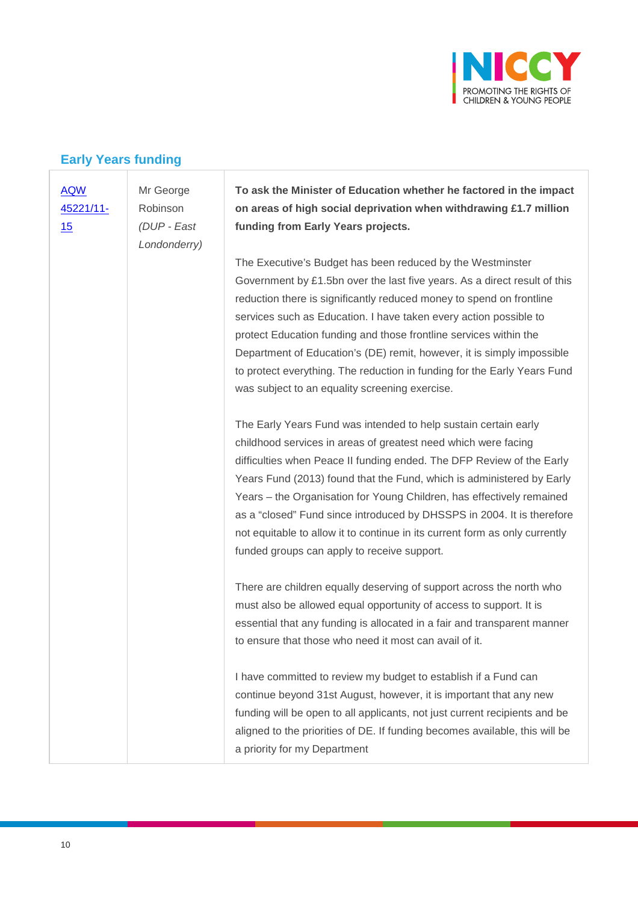

#### **Early Years funding**

| <b>AQW</b><br>45221/11-<br>15 | Mr George<br>Robinson<br>(DUP - East<br>Londonderry) | To ask the Minister of Education whether he factored in the impact<br>on areas of high social deprivation when withdrawing £1.7 million<br>funding from Early Years projects.                                                                                                                                                                                                                                                                                                                                                                                        |
|-------------------------------|------------------------------------------------------|----------------------------------------------------------------------------------------------------------------------------------------------------------------------------------------------------------------------------------------------------------------------------------------------------------------------------------------------------------------------------------------------------------------------------------------------------------------------------------------------------------------------------------------------------------------------|
|                               |                                                      | The Executive's Budget has been reduced by the Westminster<br>Government by £1.5bn over the last five years. As a direct result of this<br>reduction there is significantly reduced money to spend on frontline<br>services such as Education. I have taken every action possible to<br>protect Education funding and those frontline services within the<br>Department of Education's (DE) remit, however, it is simply impossible<br>to protect everything. The reduction in funding for the Early Years Fund<br>was subject to an equality screening exercise.    |
|                               |                                                      | The Early Years Fund was intended to help sustain certain early<br>childhood services in areas of greatest need which were facing<br>difficulties when Peace II funding ended. The DFP Review of the Early<br>Years Fund (2013) found that the Fund, which is administered by Early<br>Years - the Organisation for Young Children, has effectively remained<br>as a "closed" Fund since introduced by DHSSPS in 2004. It is therefore<br>not equitable to allow it to continue in its current form as only currently<br>funded groups can apply to receive support. |
|                               |                                                      | There are children equally deserving of support across the north who<br>must also be allowed equal opportunity of access to support. It is<br>essential that any funding is allocated in a fair and transparent manner<br>to ensure that those who need it most can avail of it.                                                                                                                                                                                                                                                                                     |
|                               |                                                      | I have committed to review my budget to establish if a Fund can<br>continue beyond 31st August, however, it is important that any new<br>funding will be open to all applicants, not just current recipients and be<br>aligned to the priorities of DE. If funding becomes available, this will be                                                                                                                                                                                                                                                                   |

a priority for my Department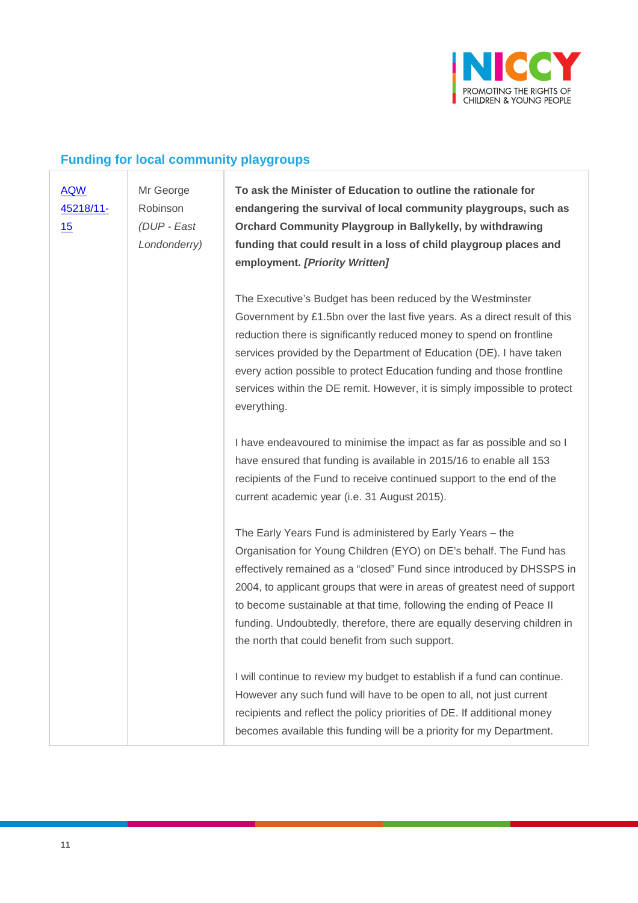

## **Funding for local community playgroups**

| <b>AQW</b><br>45218/11-<br>15 | Mr George<br>Robinson<br>(DUP - East<br>Londonderry) | To ask the Minister of Education to outline the rationale for<br>endangering the survival of local community playgroups, such as<br>Orchard Community Playgroup in Ballykelly, by withdrawing<br>funding that could result in a loss of child playgroup places and<br>employment. [Priority Written]                                                                                                                                                                                        |
|-------------------------------|------------------------------------------------------|---------------------------------------------------------------------------------------------------------------------------------------------------------------------------------------------------------------------------------------------------------------------------------------------------------------------------------------------------------------------------------------------------------------------------------------------------------------------------------------------|
|                               |                                                      | The Executive's Budget has been reduced by the Westminster<br>Government by £1.5bn over the last five years. As a direct result of this<br>reduction there is significantly reduced money to spend on frontline<br>services provided by the Department of Education (DE). I have taken<br>every action possible to protect Education funding and those frontline<br>services within the DE remit. However, it is simply impossible to protect<br>everything.                                |
|                               |                                                      | I have endeavoured to minimise the impact as far as possible and so I<br>have ensured that funding is available in 2015/16 to enable all 153<br>recipients of the Fund to receive continued support to the end of the<br>current academic year (i.e. 31 August 2015).                                                                                                                                                                                                                       |
|                               |                                                      | The Early Years Fund is administered by Early Years - the<br>Organisation for Young Children (EYO) on DE's behalf. The Fund has<br>effectively remained as a "closed" Fund since introduced by DHSSPS in<br>2004, to applicant groups that were in areas of greatest need of support<br>to become sustainable at that time, following the ending of Peace II<br>funding. Undoubtedly, therefore, there are equally deserving children in<br>the north that could benefit from such support. |
|                               |                                                      | I will continue to review my budget to establish if a fund can continue.<br>However any such fund will have to be open to all, not just current<br>recipients and reflect the policy priorities of DE. If additional money<br>becomes available this funding will be a priority for my Department.                                                                                                                                                                                          |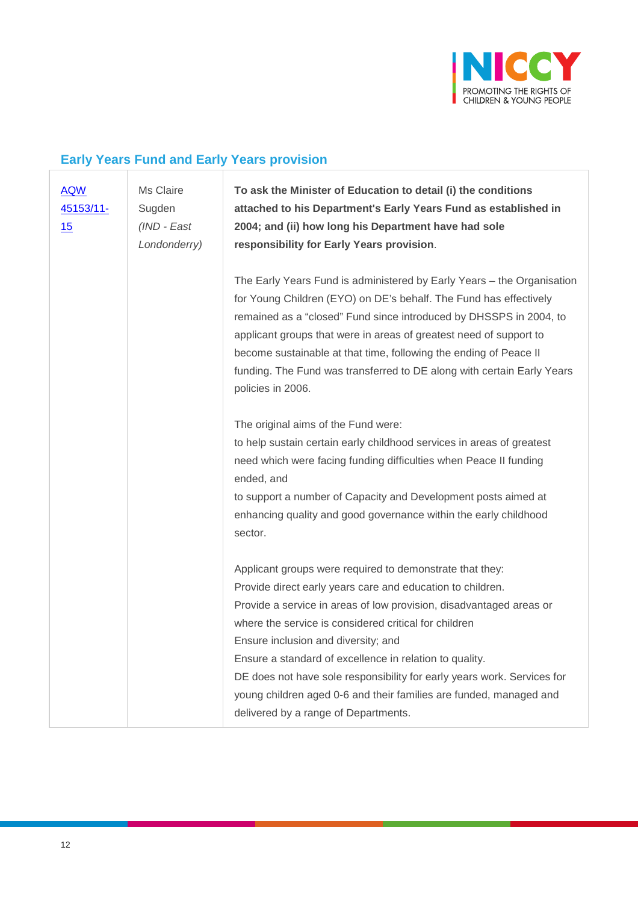

## **Early Years Fund and Early Years provision**

| <b>AQW</b><br>45153/11-<br>15 | Ms Claire<br>Sugden<br>(IND - East<br>Londonderry) | To ask the Minister of Education to detail (i) the conditions<br>attached to his Department's Early Years Fund as established in<br>2004; and (ii) how long his Department have had sole<br>responsibility for Early Years provision.                                                                                                                                                                                                                                                                                                             |
|-------------------------------|----------------------------------------------------|---------------------------------------------------------------------------------------------------------------------------------------------------------------------------------------------------------------------------------------------------------------------------------------------------------------------------------------------------------------------------------------------------------------------------------------------------------------------------------------------------------------------------------------------------|
|                               |                                                    | The Early Years Fund is administered by Early Years - the Organisation<br>for Young Children (EYO) on DE's behalf. The Fund has effectively<br>remained as a "closed" Fund since introduced by DHSSPS in 2004, to<br>applicant groups that were in areas of greatest need of support to<br>become sustainable at that time, following the ending of Peace II<br>funding. The Fund was transferred to DE along with certain Early Years<br>policies in 2006.                                                                                       |
|                               |                                                    | The original aims of the Fund were:<br>to help sustain certain early childhood services in areas of greatest<br>need which were facing funding difficulties when Peace II funding<br>ended, and<br>to support a number of Capacity and Development posts aimed at<br>enhancing quality and good governance within the early childhood<br>sector.                                                                                                                                                                                                  |
|                               |                                                    | Applicant groups were required to demonstrate that they:<br>Provide direct early years care and education to children.<br>Provide a service in areas of low provision, disadvantaged areas or<br>where the service is considered critical for children<br>Ensure inclusion and diversity; and<br>Ensure a standard of excellence in relation to quality.<br>DE does not have sole responsibility for early years work. Services for<br>young children aged 0-6 and their families are funded, managed and<br>delivered by a range of Departments. |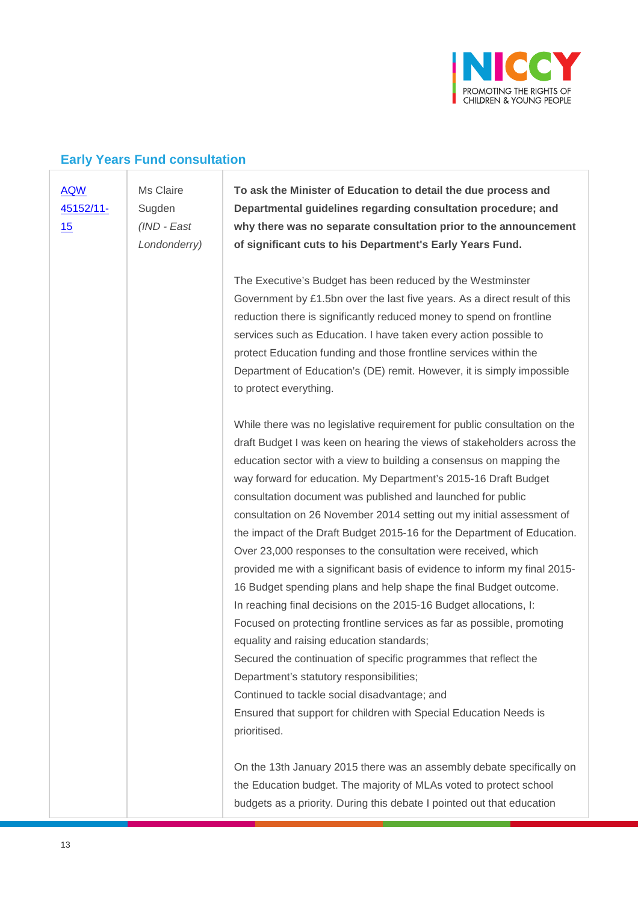

#### **Early Years Fund consultation**

#### [AQW](javascript:__doPostBack()  [45152/11-](javascript:__doPostBack() [15](javascript:__doPostBack()

Ms Claire **Sugden** *(IND - East Londonderry)* **To ask the Minister of Education to detail the due process and Departmental guidelines regarding consultation procedure; and why there was no separate consultation prior to the announcement of significant cuts to his Department's Early Years Fund.**

The Executive's Budget has been reduced by the Westminster Government by £1.5bn over the last five years. As a direct result of this reduction there is significantly reduced money to spend on frontline services such as Education. I have taken every action possible to protect Education funding and those frontline services within the Department of Education's (DE) remit. However, it is simply impossible to protect everything.

While there was no legislative requirement for public consultation on the draft Budget I was keen on hearing the views of stakeholders across the education sector with a view to building a consensus on mapping the way forward for education. My Department's 2015-16 Draft Budget consultation document was published and launched for public consultation on 26 November 2014 setting out my initial assessment of the impact of the Draft Budget 2015-16 for the Department of Education. Over 23,000 responses to the consultation were received, which provided me with a significant basis of evidence to inform my final 2015- 16 Budget spending plans and help shape the final Budget outcome. In reaching final decisions on the 2015-16 Budget allocations, I: Focused on protecting frontline services as far as possible, promoting equality and raising education standards; Secured the continuation of specific programmes that reflect the Department's statutory responsibilities; Continued to tackle social disadvantage; and Ensured that support for children with Special Education Needs is prioritised.

On the 13th January 2015 there was an assembly debate specifically on the Education budget. The majority of MLAs voted to protect school budgets as a priority. During this debate I pointed out that education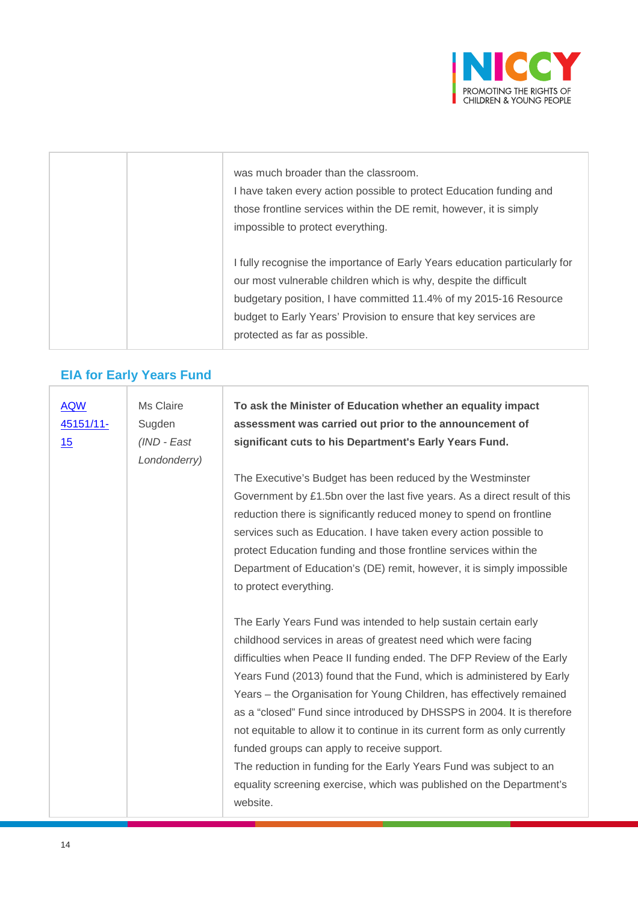

| was much broader than the classroom.<br>I have taken every action possible to protect Education funding and<br>those frontline services within the DE remit, however, it is simply<br>impossible to protect everything.                                                                                                  |
|--------------------------------------------------------------------------------------------------------------------------------------------------------------------------------------------------------------------------------------------------------------------------------------------------------------------------|
| I fully recognise the importance of Early Years education particularly for<br>our most vulnerable children which is why, despite the difficult<br>budgetary position, I have committed 11.4% of my 2015-16 Resource<br>budget to Early Years' Provision to ensure that key services are<br>protected as far as possible. |

## **EIA for Early Years Fund**

| <b>AQW</b><br>45151/11-<br>15 | Ms Claire<br>Sugden<br>(IND - East<br>Londonderry) | To ask the Minister of Education whether an equality impact<br>assessment was carried out prior to the announcement of<br>significant cuts to his Department's Early Years Fund.                                                                                                                                                                                                                                                                                                                                                                                                                                                                                                                                                |
|-------------------------------|----------------------------------------------------|---------------------------------------------------------------------------------------------------------------------------------------------------------------------------------------------------------------------------------------------------------------------------------------------------------------------------------------------------------------------------------------------------------------------------------------------------------------------------------------------------------------------------------------------------------------------------------------------------------------------------------------------------------------------------------------------------------------------------------|
|                               |                                                    | The Executive's Budget has been reduced by the Westminster<br>Government by £1.5bn over the last five years. As a direct result of this<br>reduction there is significantly reduced money to spend on frontline<br>services such as Education. I have taken every action possible to<br>protect Education funding and those frontline services within the<br>Department of Education's (DE) remit, however, it is simply impossible<br>to protect everything.                                                                                                                                                                                                                                                                   |
|                               |                                                    | The Early Years Fund was intended to help sustain certain early<br>childhood services in areas of greatest need which were facing<br>difficulties when Peace II funding ended. The DFP Review of the Early<br>Years Fund (2013) found that the Fund, which is administered by Early<br>Years - the Organisation for Young Children, has effectively remained<br>as a "closed" Fund since introduced by DHSSPS in 2004. It is therefore<br>not equitable to allow it to continue in its current form as only currently<br>funded groups can apply to receive support.<br>The reduction in funding for the Early Years Fund was subject to an<br>equality screening exercise, which was published on the Department's<br>website. |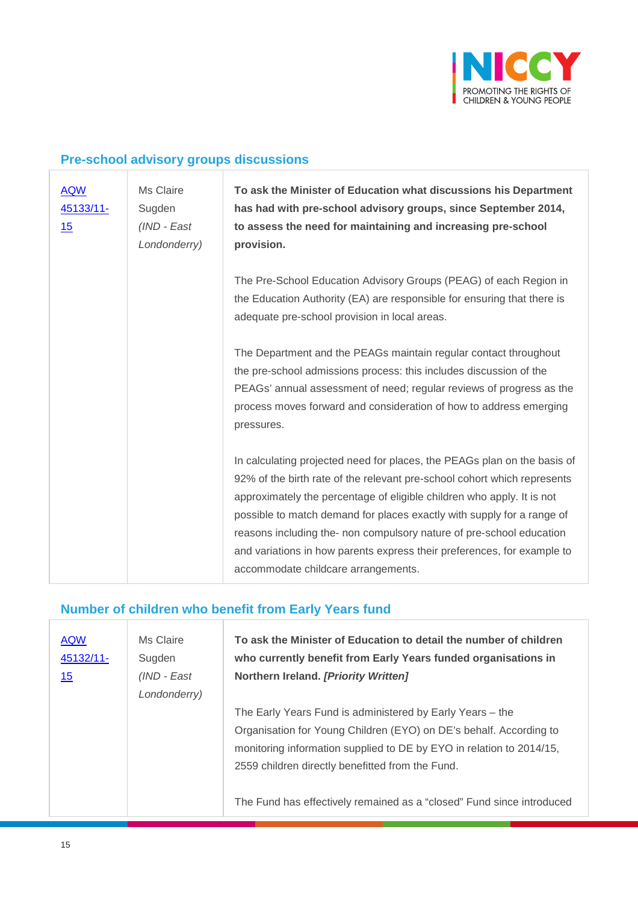

## **Pre-school advisory groups discussions**

| <b>AQW</b><br>45133/11-<br>15 | Ms Claire<br>Sugden<br>(IND - East<br>Londonderry) | To ask the Minister of Education what discussions his Department<br>has had with pre-school advisory groups, since September 2014,<br>to assess the need for maintaining and increasing pre-school<br>provision.                                                                                                                                                                                                                                                                                   |
|-------------------------------|----------------------------------------------------|----------------------------------------------------------------------------------------------------------------------------------------------------------------------------------------------------------------------------------------------------------------------------------------------------------------------------------------------------------------------------------------------------------------------------------------------------------------------------------------------------|
|                               |                                                    | The Pre-School Education Advisory Groups (PEAG) of each Region in<br>the Education Authority (EA) are responsible for ensuring that there is<br>adequate pre-school provision in local areas.                                                                                                                                                                                                                                                                                                      |
|                               |                                                    | The Department and the PEAGs maintain regular contact throughout<br>the pre-school admissions process: this includes discussion of the<br>PEAGs' annual assessment of need; regular reviews of progress as the<br>process moves forward and consideration of how to address emerging<br>pressures.                                                                                                                                                                                                 |
|                               |                                                    | In calculating projected need for places, the PEAGs plan on the basis of<br>92% of the birth rate of the relevant pre-school cohort which represents<br>approximately the percentage of eligible children who apply. It is not<br>possible to match demand for places exactly with supply for a range of<br>reasons including the- non compulsory nature of pre-school education<br>and variations in how parents express their preferences, for example to<br>accommodate childcare arrangements. |

## **Number of children who benefit from Early Years fund**

| <b>AQW</b><br>45132/11-<br>15 | Ms Claire<br>Sugden<br>(IND - East<br>Londonderry) | To ask the Minister of Education to detail the number of children<br>who currently benefit from Early Years funded organisations in<br>Northern Ireland. [Priority Written]                                                                                 |
|-------------------------------|----------------------------------------------------|-------------------------------------------------------------------------------------------------------------------------------------------------------------------------------------------------------------------------------------------------------------|
|                               |                                                    | The Early Years Fund is administered by Early Years – the<br>Organisation for Young Children (EYO) on DE's behalf. According to<br>monitoring information supplied to DE by EYO in relation to 2014/15,<br>2559 children directly benefitted from the Fund. |
|                               |                                                    | The Fund has effectively remained as a "closed" Fund since introduced                                                                                                                                                                                       |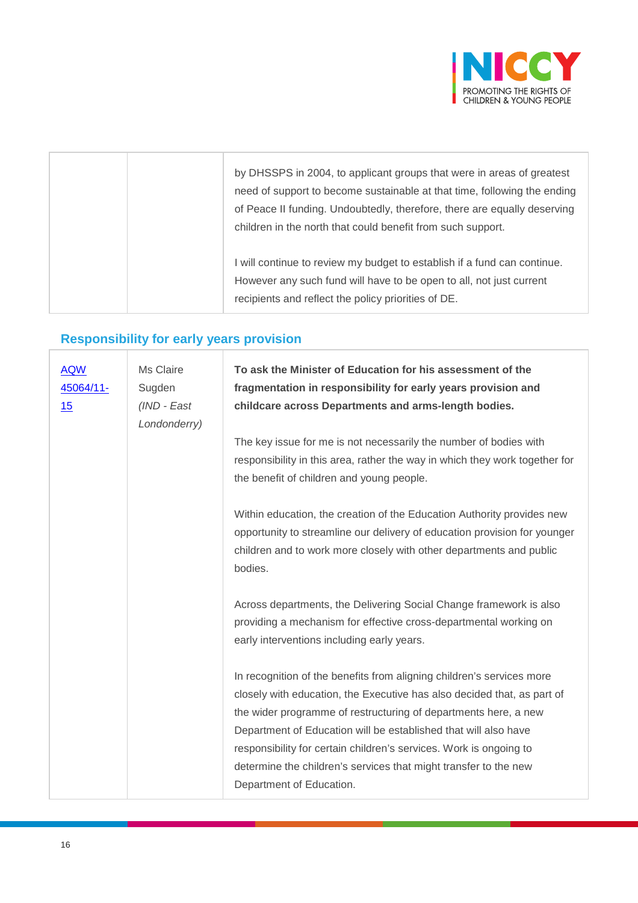

|  | by DHSSPS in 2004, to applicant groups that were in areas of greatest<br>need of support to become sustainable at that time, following the ending<br>of Peace II funding. Undoubtedly, therefore, there are equally deserving<br>children in the north that could benefit from such support. |
|--|----------------------------------------------------------------------------------------------------------------------------------------------------------------------------------------------------------------------------------------------------------------------------------------------|
|  | I will continue to review my budget to establish if a fund can continue.<br>However any such fund will have to be open to all, not just current<br>recipients and reflect the policy priorities of DE.                                                                                       |

## **Responsibility for early years provision**

| <b>AQW</b><br>45064/11-<br><u>15</u> | Ms Claire<br>Sugden<br>(IND - East<br>Londonderry) | To ask the Minister of Education for his assessment of the<br>fragmentation in responsibility for early years provision and<br>childcare across Departments and arms-length bodies.                                                                                                                                                                                                                                                                          |
|--------------------------------------|----------------------------------------------------|--------------------------------------------------------------------------------------------------------------------------------------------------------------------------------------------------------------------------------------------------------------------------------------------------------------------------------------------------------------------------------------------------------------------------------------------------------------|
|                                      |                                                    | The key issue for me is not necessarily the number of bodies with<br>responsibility in this area, rather the way in which they work together for<br>the benefit of children and young people.                                                                                                                                                                                                                                                                |
|                                      |                                                    | Within education, the creation of the Education Authority provides new<br>opportunity to streamline our delivery of education provision for younger<br>children and to work more closely with other departments and public<br>bodies.                                                                                                                                                                                                                        |
|                                      |                                                    | Across departments, the Delivering Social Change framework is also<br>providing a mechanism for effective cross-departmental working on<br>early interventions including early years.                                                                                                                                                                                                                                                                        |
|                                      |                                                    | In recognition of the benefits from aligning children's services more<br>closely with education, the Executive has also decided that, as part of<br>the wider programme of restructuring of departments here, a new<br>Department of Education will be established that will also have<br>responsibility for certain children's services. Work is ongoing to<br>determine the children's services that might transfer to the new<br>Department of Education. |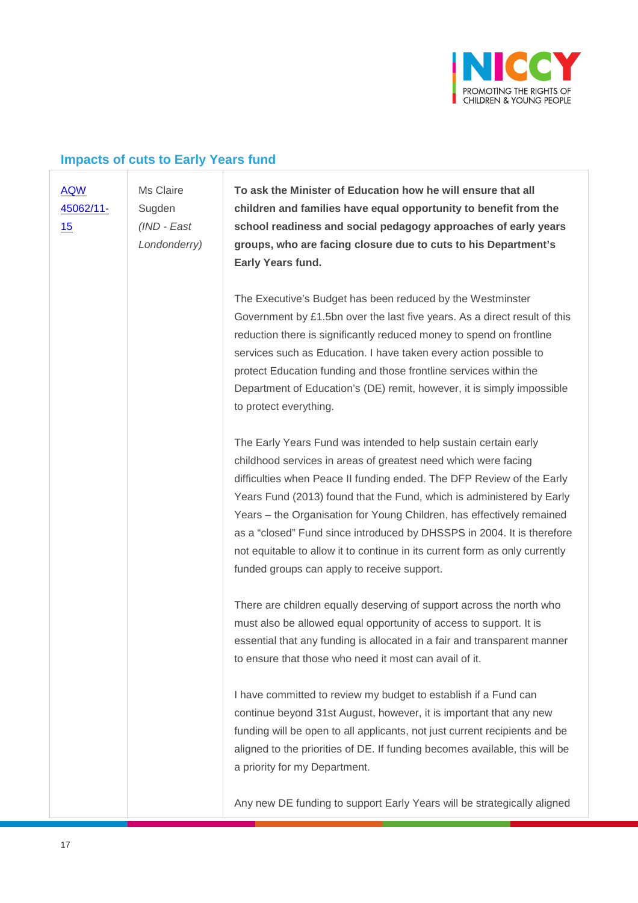

#### **Impacts of cuts to Early Years fund**

Ms Claire

#### [AQW](javascript:__doPostBack()  [45062/11-](javascript:__doPostBack() [15](javascript:__doPostBack()

**Sugden** *(IND - East Londonderry)* **To ask the Minister of Education how he will ensure that all children and families have equal opportunity to benefit from the school readiness and social pedagogy approaches of early years groups, who are facing closure due to cuts to his Department's Early Years fund.**

The Executive's Budget has been reduced by the Westminster Government by £1.5bn over the last five years. As a direct result of this reduction there is significantly reduced money to spend on frontline services such as Education. I have taken every action possible to protect Education funding and those frontline services within the Department of Education's (DE) remit, however, it is simply impossible to protect everything.

The Early Years Fund was intended to help sustain certain early childhood services in areas of greatest need which were facing difficulties when Peace II funding ended. The DFP Review of the Early Years Fund (2013) found that the Fund, which is administered by Early Years – the Organisation for Young Children, has effectively remained as a "closed" Fund since introduced by DHSSPS in 2004. It is therefore not equitable to allow it to continue in its current form as only currently funded groups can apply to receive support.

There are children equally deserving of support across the north who must also be allowed equal opportunity of access to support. It is essential that any funding is allocated in a fair and transparent manner to ensure that those who need it most can avail of it.

I have committed to review my budget to establish if a Fund can continue beyond 31st August, however, it is important that any new funding will be open to all applicants, not just current recipients and be aligned to the priorities of DE. If funding becomes available, this will be a priority for my Department.

Any new DE funding to support Early Years will be strategically aligned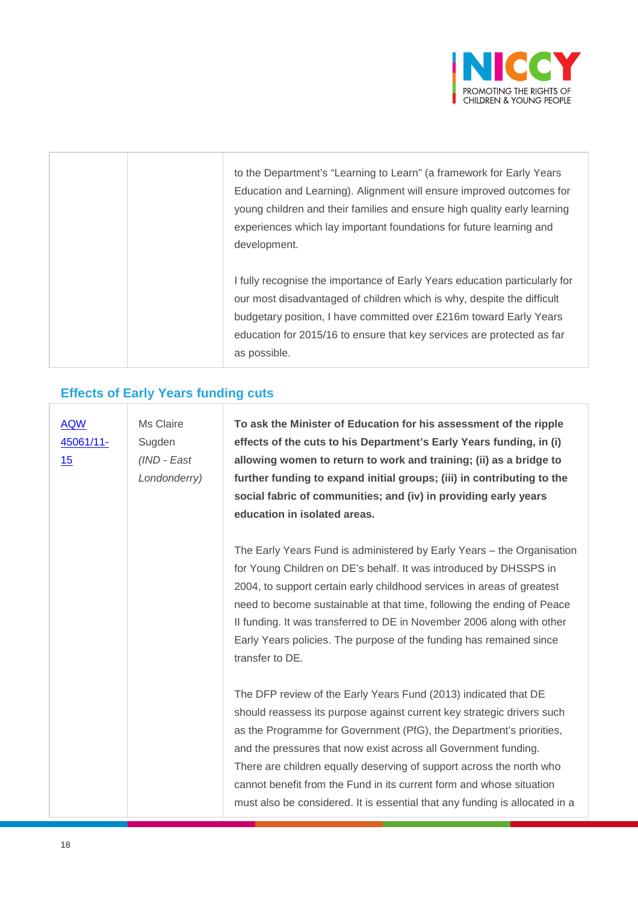

|  | to the Department's "Learning to Learn" (a framework for Early Years       |
|--|----------------------------------------------------------------------------|
|  | Education and Learning). Alignment will ensure improved outcomes for       |
|  | young children and their families and ensure high quality early learning   |
|  | experiences which lay important foundations for future learning and        |
|  | development.                                                               |
|  |                                                                            |
|  | I fully recognise the importance of Early Years education particularly for |
|  | our most disadvantaged of children which is why, despite the difficult     |
|  | budgetary position, I have committed over £216m toward Early Years         |
|  | education for 2015/16 to ensure that key services are protected as far     |
|  | as possible.                                                               |

#### **Effects of Early Years funding cuts**

[AQW](javascript:__doPostBack()  [45061/11-](javascript:__doPostBack() [15](javascript:__doPostBack() Ms Claire Sugden *(IND - East Londonderry)* **To ask the Minister of Education for his assessment of the ripple effects of the cuts to his Department's Early Years funding, in (i) allowing women to return to work and training; (ii) as a bridge to further funding to expand initial groups; (iii) in contributing to the social fabric of communities; and (iv) in providing early years education in isolated areas.**  The Early Years Fund is administered by Early Years – the Organisation for Young Children on DE's behalf. It was introduced by DHSSPS in 2004, to support certain early childhood services in areas of greatest need to become sustainable at that time, following the ending of Peace II funding. It was transferred to DE in November 2006 along with other Early Years policies. The purpose of the funding has remained since

transfer to DE.

The DFP review of the Early Years Fund (2013) indicated that DE should reassess its purpose against current key strategic drivers such as the Programme for Government (PfG), the Department's priorities, and the pressures that now exist across all Government funding. There are children equally deserving of support across the north who cannot benefit from the Fund in its current form and whose situation must also be considered. It is essential that any funding is allocated in a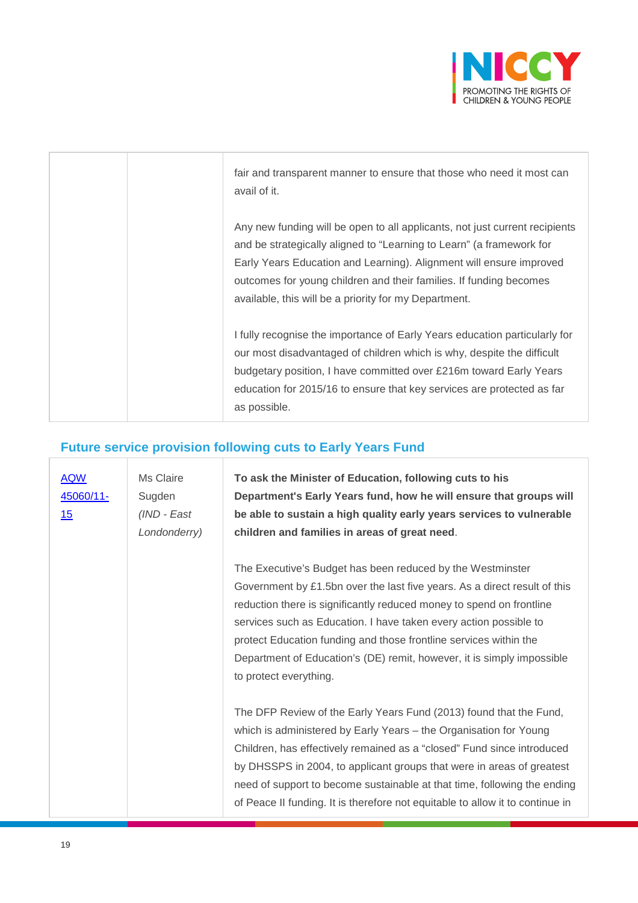

| fair and transparent manner to ensure that those who need it most can<br>avail of it.                                                                                                                                                                                                                                                                     |
|-----------------------------------------------------------------------------------------------------------------------------------------------------------------------------------------------------------------------------------------------------------------------------------------------------------------------------------------------------------|
| Any new funding will be open to all applicants, not just current recipients<br>and be strategically aligned to "Learning to Learn" (a framework for<br>Early Years Education and Learning). Alignment will ensure improved<br>outcomes for young children and their families. If funding becomes<br>available, this will be a priority for my Department. |
| I fully recognise the importance of Early Years education particularly for<br>our most disadvantaged of children which is why, despite the difficult<br>budgetary position, I have committed over £216m toward Early Years<br>education for 2015/16 to ensure that key services are protected as far<br>as possible.                                      |

# **Future service provision following cuts to Early Years Fund**

| <b>AQW</b><br>45060/11-<br><u>15</u> | Ms Claire<br>Sugden<br>(IND - East<br>Londonderry) | To ask the Minister of Education, following cuts to his<br>Department's Early Years fund, how he will ensure that groups will<br>be able to sustain a high quality early years services to vulnerable<br>children and families in areas of great need.                                                                                                                                                                                                        |
|--------------------------------------|----------------------------------------------------|---------------------------------------------------------------------------------------------------------------------------------------------------------------------------------------------------------------------------------------------------------------------------------------------------------------------------------------------------------------------------------------------------------------------------------------------------------------|
|                                      |                                                    | The Executive's Budget has been reduced by the Westminster<br>Government by £1.5bn over the last five years. As a direct result of this<br>reduction there is significantly reduced money to spend on frontline<br>services such as Education. I have taken every action possible to<br>protect Education funding and those frontline services within the<br>Department of Education's (DE) remit, however, it is simply impossible<br>to protect everything. |
|                                      |                                                    | The DFP Review of the Early Years Fund (2013) found that the Fund,<br>which is administered by Early Years – the Organisation for Young<br>Children, has effectively remained as a "closed" Fund since introduced<br>by DHSSPS in 2004, to applicant groups that were in areas of greatest<br>need of support to become sustainable at that time, following the ending<br>of Peace II funding. It is therefore not equitable to allow it to continue in       |

 $\begin{array}{c} \hline \end{array}$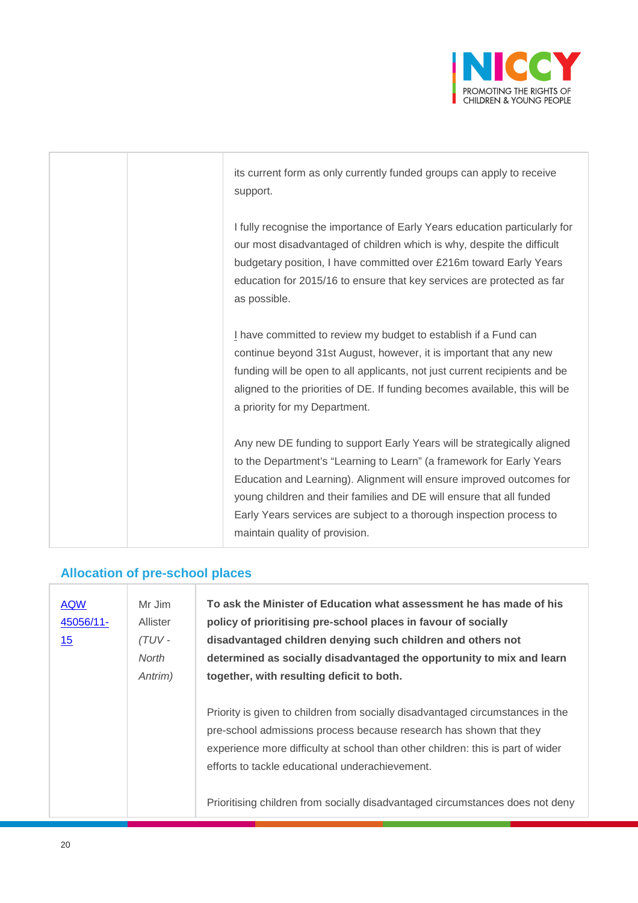

| its current form as only currently funded groups can apply to receive<br>support.                                                                                                                                                                                                                                                                                                                         |
|-----------------------------------------------------------------------------------------------------------------------------------------------------------------------------------------------------------------------------------------------------------------------------------------------------------------------------------------------------------------------------------------------------------|
| I fully recognise the importance of Early Years education particularly for<br>our most disadvantaged of children which is why, despite the difficult<br>budgetary position, I have committed over £216m toward Early Years<br>education for 2015/16 to ensure that key services are protected as far<br>as possible.                                                                                      |
| I have committed to review my budget to establish if a Fund can<br>continue beyond 31st August, however, it is important that any new<br>funding will be open to all applicants, not just current recipients and be<br>aligned to the priorities of DE. If funding becomes available, this will be<br>a priority for my Department.                                                                       |
| Any new DE funding to support Early Years will be strategically aligned<br>to the Department's "Learning to Learn" (a framework for Early Years<br>Education and Learning). Alignment will ensure improved outcomes for<br>young children and their families and DE will ensure that all funded<br>Early Years services are subject to a thorough inspection process to<br>maintain quality of provision. |

## **Allocation of pre-school places**

| <b>AQW</b><br>45056/11-<br>15 | Mr Jim<br>Allister<br>$(TUV -$<br>North<br>Antrim) | To ask the Minister of Education what assessment he has made of his<br>policy of prioritising pre-school places in favour of socially<br>disadvantaged children denying such children and others not<br>determined as socially disadvantaged the opportunity to mix and learn<br>together, with resulting deficit to both.                                                  |
|-------------------------------|----------------------------------------------------|-----------------------------------------------------------------------------------------------------------------------------------------------------------------------------------------------------------------------------------------------------------------------------------------------------------------------------------------------------------------------------|
|                               |                                                    | Priority is given to children from socially disadvantaged circumstances in the<br>pre-school admissions process because research has shown that they<br>experience more difficulty at school than other children: this is part of wider<br>efforts to tackle educational underachievement.<br>Prioritising children from socially disadvantaged circumstances does not deny |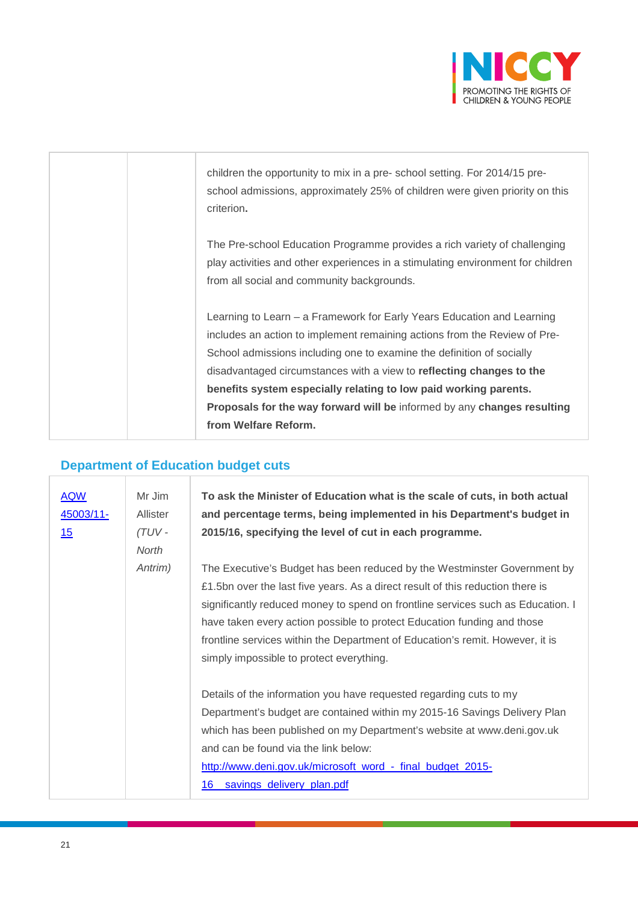

| children the opportunity to mix in a pre-school setting. For 2014/15 pre-<br>school admissions, approximately 25% of children were given priority on this<br>criterion.                                                                                                                                                                                                                                                                                                     |
|-----------------------------------------------------------------------------------------------------------------------------------------------------------------------------------------------------------------------------------------------------------------------------------------------------------------------------------------------------------------------------------------------------------------------------------------------------------------------------|
| The Pre-school Education Programme provides a rich variety of challenging<br>play activities and other experiences in a stimulating environment for children<br>from all social and community backgrounds.                                                                                                                                                                                                                                                                  |
| Learning to Learn – a Framework for Early Years Education and Learning<br>includes an action to implement remaining actions from the Review of Pre-<br>School admissions including one to examine the definition of socially<br>disadvantaged circumstances with a view to reflecting changes to the<br>benefits system especially relating to low paid working parents.<br>Proposals for the way forward will be informed by any changes resulting<br>from Welfare Reform. |

## **Department of Education budget cuts**

| <b>AQW</b><br><u>45003/11-</u><br>15 | Mr Jim<br>Allister<br>(TUV-<br>North | To ask the Minister of Education what is the scale of cuts, in both actual<br>and percentage terms, being implemented in his Department's budget in<br>2015/16, specifying the level of cut in each programme.                                                                                                                                                                                                                                        |
|--------------------------------------|--------------------------------------|-------------------------------------------------------------------------------------------------------------------------------------------------------------------------------------------------------------------------------------------------------------------------------------------------------------------------------------------------------------------------------------------------------------------------------------------------------|
|                                      | Antrim)                              | The Executive's Budget has been reduced by the Westminster Government by<br>£1.5bn over the last five years. As a direct result of this reduction there is<br>significantly reduced money to spend on frontline services such as Education. I<br>have taken every action possible to protect Education funding and those<br>frontline services within the Department of Education's remit. However, it is<br>simply impossible to protect everything. |
|                                      |                                      | Details of the information you have requested regarding cuts to my<br>Department's budget are contained within my 2015-16 Savings Delivery Plan<br>which has been published on my Department's website at www.deni.gov.uk<br>and can be found via the link below:<br>http://www.deni.gov.uk/microsoft_word_-_final_budget_2015-<br>16<br>savings_delivery_plan.pdf                                                                                    |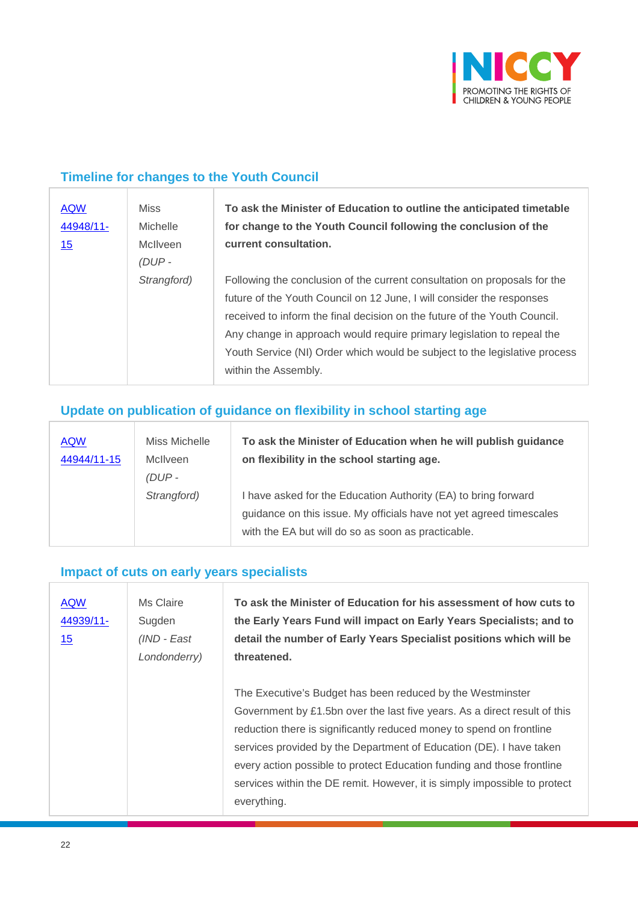

#### **Timeline for changes to the Youth Council**

| <b>AQW</b><br>44948/11- | <b>Miss</b><br><b>Michelle</b> | To ask the Minister of Education to outline the anticipated timetable<br>for change to the Youth Council following the conclusion of the |
|-------------------------|--------------------------------|------------------------------------------------------------------------------------------------------------------------------------------|
| 15                      | <b>McIlveen</b><br>$(DUP -$    | current consultation.                                                                                                                    |
|                         |                                |                                                                                                                                          |
|                         | Strangford)                    | Following the conclusion of the current consultation on proposals for the                                                                |
|                         |                                | future of the Youth Council on 12 June, I will consider the responses                                                                    |
|                         |                                | received to inform the final decision on the future of the Youth Council.                                                                |
|                         |                                | Any change in approach would require primary legislation to repeal the                                                                   |
|                         |                                | Youth Service (NI) Order which would be subject to the legislative process                                                               |
|                         |                                | within the Assembly.                                                                                                                     |

## **Update on publication of guidance on flexibility in school starting age**

| <b>AQW</b><br>44944/11-15 | Miss Michelle<br><b>McIlveen</b><br>$(DUP -$ | To ask the Minister of Education when he will publish guidance<br>on flexibility in the school starting age.                                                                                |
|---------------------------|----------------------------------------------|---------------------------------------------------------------------------------------------------------------------------------------------------------------------------------------------|
|                           | Strangford)                                  | I have asked for the Education Authority (EA) to bring forward<br>guidance on this issue. My officials have not yet agreed timescales<br>with the EA but will do so as soon as practicable. |

#### **Impact of cuts on early years specialists**

| <b>AQW</b><br>44939/11-<br>15 | Ms Claire<br>Sugden<br>(IND - East<br>Londonderry) | To ask the Minister of Education for his assessment of how cuts to<br>the Early Years Fund will impact on Early Years Specialists; and to<br>detail the number of Early Years Specialist positions which will be<br>threatened.                                                                                                                                                                                                                              |
|-------------------------------|----------------------------------------------------|--------------------------------------------------------------------------------------------------------------------------------------------------------------------------------------------------------------------------------------------------------------------------------------------------------------------------------------------------------------------------------------------------------------------------------------------------------------|
|                               |                                                    | The Executive's Budget has been reduced by the Westminster<br>Government by £1.5bn over the last five years. As a direct result of this<br>reduction there is significantly reduced money to spend on frontline<br>services provided by the Department of Education (DE). I have taken<br>every action possible to protect Education funding and those frontline<br>services within the DE remit. However, it is simply impossible to protect<br>everything. |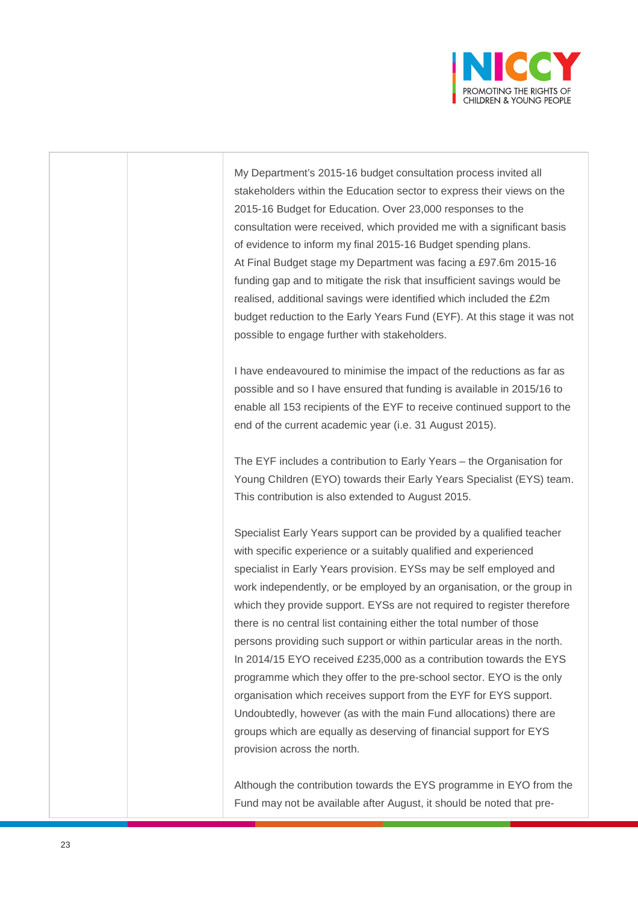

My Department's 2015-16 budget consultation process invited all stakeholders within the Education sector to express their views on the 2015-16 Budget for Education. Over 23,000 responses to the consultation were received, which provided me with a significant basis of evidence to inform my final 2015-16 Budget spending plans. At Final Budget stage my Department was facing a £97.6m 2015-16 funding gap and to mitigate the risk that insufficient savings would be realised, additional savings were identified which included the £2m budget reduction to the Early Years Fund (EYF). At this stage it was not possible to engage further with stakeholders.

I have endeavoured to minimise the impact of the reductions as far as possible and so I have ensured that funding is available in 2015/16 to enable all 153 recipients of the EYF to receive continued support to the end of the current academic year (i.e. 31 August 2015).

The EYF includes a contribution to Early Years – the Organisation for Young Children (EYO) towards their Early Years Specialist (EYS) team. This contribution is also extended to August 2015.

Specialist Early Years support can be provided by a qualified teacher with specific experience or a suitably qualified and experienced specialist in Early Years provision. EYSs may be self employed and work independently, or be employed by an organisation, or the group in which they provide support. EYSs are not required to register therefore there is no central list containing either the total number of those persons providing such support or within particular areas in the north. In 2014/15 EYO received £235,000 as a contribution towards the EYS programme which they offer to the pre-school sector. EYO is the only organisation which receives support from the EYF for EYS support. Undoubtedly, however (as with the main Fund allocations) there are groups which are equally as deserving of financial support for EYS provision across the north.

Although the contribution towards the EYS programme in EYO from the Fund may not be available after August, it should be noted that pre-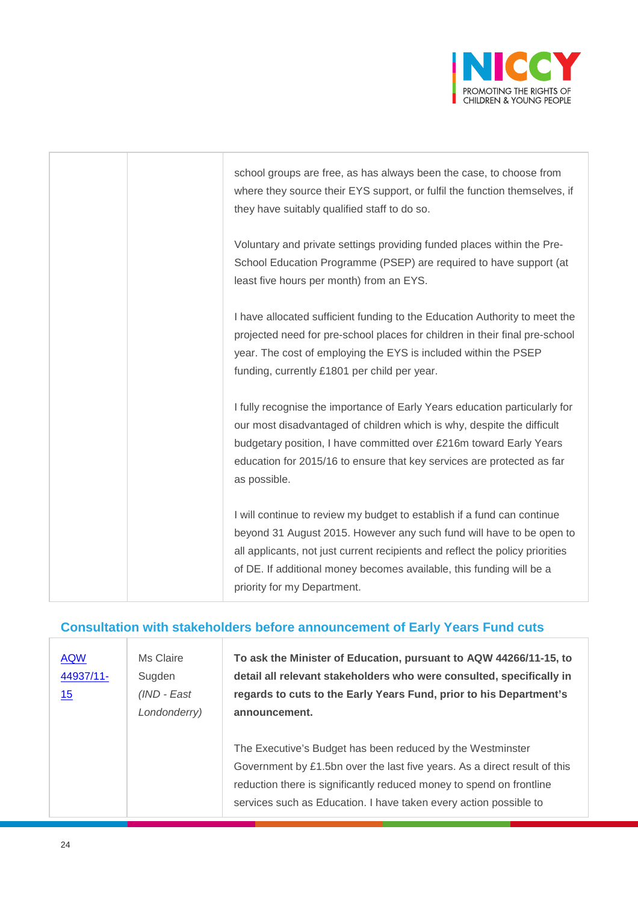

| school groups are free, as has always been the case, to choose from<br>where they source their EYS support, or fulfil the function themselves, if<br>they have suitably qualified staff to do so.                                                                                                                                       |
|-----------------------------------------------------------------------------------------------------------------------------------------------------------------------------------------------------------------------------------------------------------------------------------------------------------------------------------------|
| Voluntary and private settings providing funded places within the Pre-<br>School Education Programme (PSEP) are required to have support (at<br>least five hours per month) from an EYS.                                                                                                                                                |
| I have allocated sufficient funding to the Education Authority to meet the<br>projected need for pre-school places for children in their final pre-school<br>year. The cost of employing the EYS is included within the PSEP<br>funding, currently £1801 per child per year.                                                            |
| I fully recognise the importance of Early Years education particularly for<br>our most disadvantaged of children which is why, despite the difficult<br>budgetary position, I have committed over £216m toward Early Years<br>education for 2015/16 to ensure that key services are protected as far<br>as possible.                    |
| I will continue to review my budget to establish if a fund can continue<br>beyond 31 August 2015. However any such fund will have to be open to<br>all applicants, not just current recipients and reflect the policy priorities<br>of DE. If additional money becomes available, this funding will be a<br>priority for my Department. |

#### **Consultation with stakeholders before announcement of Early Years Fund cuts**

| <b>AQW</b><br>44937/11-<br>15 | Ms Claire<br>Sugden<br>(IND - East<br>Londonderry) | To ask the Minister of Education, pursuant to AQW 44266/11-15, to<br>detail all relevant stakeholders who were consulted, specifically in<br>regards to cuts to the Early Years Fund, prior to his Department's<br>announcement.                                                     |
|-------------------------------|----------------------------------------------------|--------------------------------------------------------------------------------------------------------------------------------------------------------------------------------------------------------------------------------------------------------------------------------------|
|                               |                                                    | The Executive's Budget has been reduced by the Westminster<br>Government by £1.5bn over the last five years. As a direct result of this<br>reduction there is significantly reduced money to spend on frontline<br>services such as Education. I have taken every action possible to |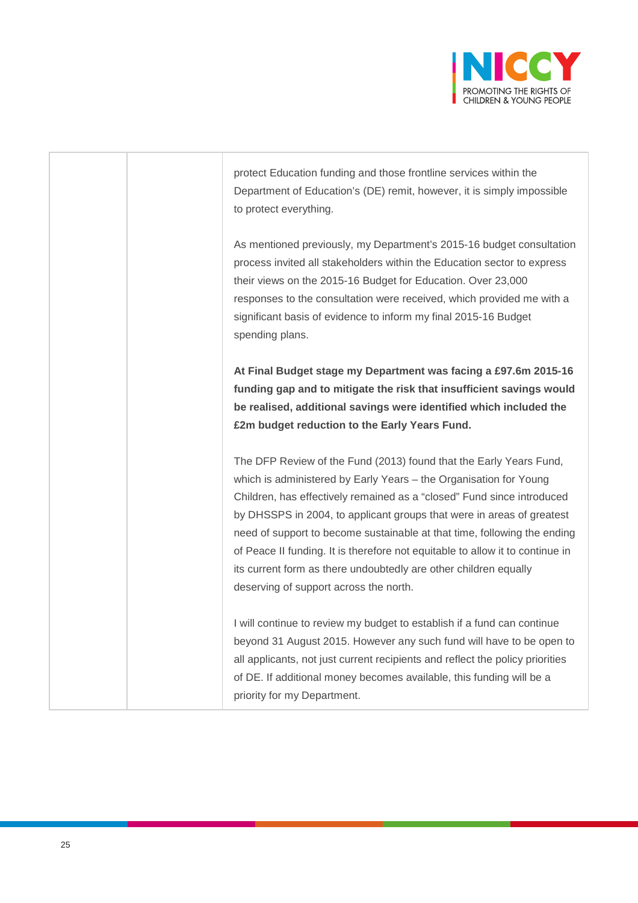

protect Education funding and those frontline services within the Department of Education's (DE) remit, however, it is simply impossible to protect everything.

As mentioned previously, my Department's 2015-16 budget consultation process invited all stakeholders within the Education sector to express their views on the 2015-16 Budget for Education. Over 23,000 responses to the consultation were received, which provided me with a significant basis of evidence to inform my final 2015-16 Budget spending plans.

**At Final Budget stage my Department was facing a £97.6m 2015-16 funding gap and to mitigate the risk that insufficient savings would be realised, additional savings were identified which included the £2m budget reduction to the Early Years Fund.**

The DFP Review of the Fund (2013) found that the Early Years Fund, which is administered by Early Years – the Organisation for Young Children, has effectively remained as a "closed" Fund since introduced by DHSSPS in 2004, to applicant groups that were in areas of greatest need of support to become sustainable at that time, following the ending of Peace II funding. It is therefore not equitable to allow it to continue in its current form as there undoubtedly are other children equally deserving of support across the north.

I will continue to review my budget to establish if a fund can continue beyond 31 August 2015. However any such fund will have to be open to all applicants, not just current recipients and reflect the policy priorities of DE. If additional money becomes available, this funding will be a priority for my Department.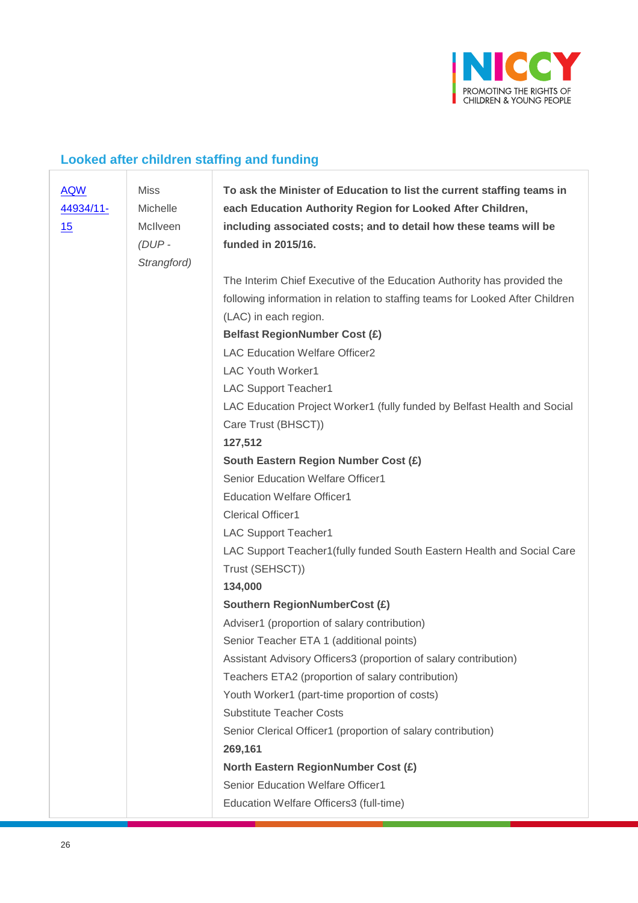

## **Looked after children staffing and funding**

| <b>AQW</b><br>44934/11-<br>15 | <b>Miss</b><br>Michelle<br>McIlveen<br>$(DUP -$<br>Strangford) | To ask the Minister of Education to list the current staffing teams in<br>each Education Authority Region for Looked After Children,<br>including associated costs; and to detail how these teams will be<br>funded in 2015/16. |
|-------------------------------|----------------------------------------------------------------|---------------------------------------------------------------------------------------------------------------------------------------------------------------------------------------------------------------------------------|
|                               |                                                                | The Interim Chief Executive of the Education Authority has provided the                                                                                                                                                         |
|                               |                                                                | following information in relation to staffing teams for Looked After Children                                                                                                                                                   |
|                               |                                                                | (LAC) in each region.                                                                                                                                                                                                           |
|                               |                                                                | Belfast RegionNumber Cost (£)                                                                                                                                                                                                   |
|                               |                                                                | <b>LAC Education Welfare Officer2</b>                                                                                                                                                                                           |
|                               |                                                                | <b>LAC Youth Worker1</b>                                                                                                                                                                                                        |
|                               |                                                                | <b>LAC Support Teacher1</b>                                                                                                                                                                                                     |
|                               |                                                                | LAC Education Project Worker1 (fully funded by Belfast Health and Social                                                                                                                                                        |
|                               |                                                                | Care Trust (BHSCT))                                                                                                                                                                                                             |
|                               |                                                                | 127,512                                                                                                                                                                                                                         |
|                               |                                                                | South Eastern Region Number Cost (£)                                                                                                                                                                                            |
|                               |                                                                | Senior Education Welfare Officer1                                                                                                                                                                                               |
|                               |                                                                | <b>Education Welfare Officer1</b>                                                                                                                                                                                               |
|                               |                                                                | <b>Clerical Officer1</b>                                                                                                                                                                                                        |
|                               |                                                                | <b>LAC Support Teacher1</b>                                                                                                                                                                                                     |
|                               |                                                                | LAC Support Teacher1 (fully funded South Eastern Health and Social Care<br>Trust (SEHSCT))                                                                                                                                      |
|                               |                                                                | 134,000                                                                                                                                                                                                                         |
|                               |                                                                | <b>Southern RegionNumberCost (£)</b>                                                                                                                                                                                            |
|                               |                                                                | Adviser1 (proportion of salary contribution)                                                                                                                                                                                    |
|                               |                                                                | Senior Teacher ETA 1 (additional points)                                                                                                                                                                                        |
|                               |                                                                | Assistant Advisory Officers3 (proportion of salary contribution)                                                                                                                                                                |
|                               |                                                                | Teachers ETA2 (proportion of salary contribution)                                                                                                                                                                               |
|                               |                                                                | Youth Worker1 (part-time proportion of costs)                                                                                                                                                                                   |
|                               |                                                                | <b>Substitute Teacher Costs</b>                                                                                                                                                                                                 |
|                               |                                                                | Senior Clerical Officer1 (proportion of salary contribution)                                                                                                                                                                    |
|                               |                                                                | 269,161                                                                                                                                                                                                                         |
|                               |                                                                | <b>North Eastern RegionNumber Cost (£)</b>                                                                                                                                                                                      |
|                               |                                                                | Senior Education Welfare Officer1                                                                                                                                                                                               |
|                               |                                                                | Education Welfare Officers3 (full-time)                                                                                                                                                                                         |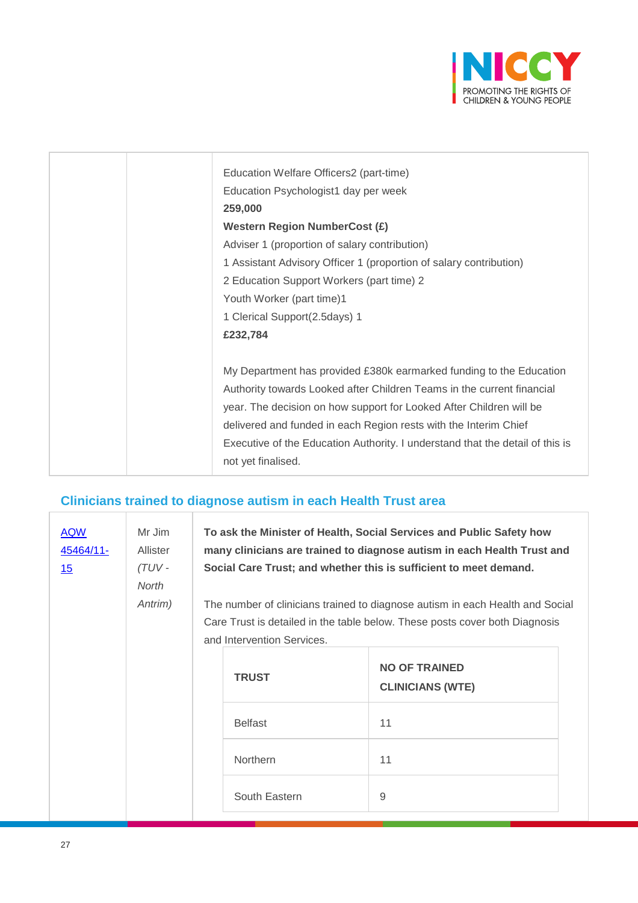

| Education Welfare Officers2 (part-time)<br>Education Psychologist1 day per week<br>259,000<br><b>Western Region NumberCost (£)</b><br>Adviser 1 (proportion of salary contribution)<br>1 Assistant Advisory Officer 1 (proportion of salary contribution)<br>2 Education Support Workers (part time) 2<br>Youth Worker (part time)1<br>1 Clerical Support(2.5days) 1                                        |
|-------------------------------------------------------------------------------------------------------------------------------------------------------------------------------------------------------------------------------------------------------------------------------------------------------------------------------------------------------------------------------------------------------------|
| £232,784<br>My Department has provided £380k earmarked funding to the Education<br>Authority towards Looked after Children Teams in the current financial<br>year. The decision on how support for Looked After Children will be<br>delivered and funded in each Region rests with the Interim Chief<br>Executive of the Education Authority. I understand that the detail of this is<br>not yet finalised. |

## **Clinicians trained to diagnose autism in each Health Trust area**

| <b>AQW</b><br>45464/11-<br>15 | Mr Jim<br>Allister<br>(TUV-<br><b>North</b><br>Antrim) | To ask the Minister of Health, Social Services and Public Safety how<br>many clinicians are trained to diagnose autism in each Health Trust and<br>Social Care Trust; and whether this is sufficient to meet demand.<br>The number of clinicians trained to diagnose autism in each Health and Social<br>Care Trust is detailed in the table below. These posts cover both Diagnosis<br>and Intervention Services. |                |                                                 |
|-------------------------------|--------------------------------------------------------|--------------------------------------------------------------------------------------------------------------------------------------------------------------------------------------------------------------------------------------------------------------------------------------------------------------------------------------------------------------------------------------------------------------------|----------------|-------------------------------------------------|
|                               |                                                        |                                                                                                                                                                                                                                                                                                                                                                                                                    | <b>TRUST</b>   | <b>NO OF TRAINED</b><br><b>CLINICIANS (WTE)</b> |
|                               |                                                        |                                                                                                                                                                                                                                                                                                                                                                                                                    | <b>Belfast</b> | 11                                              |
|                               |                                                        |                                                                                                                                                                                                                                                                                                                                                                                                                    | Northern       | 11                                              |
|                               |                                                        |                                                                                                                                                                                                                                                                                                                                                                                                                    | South Eastern  | 9                                               |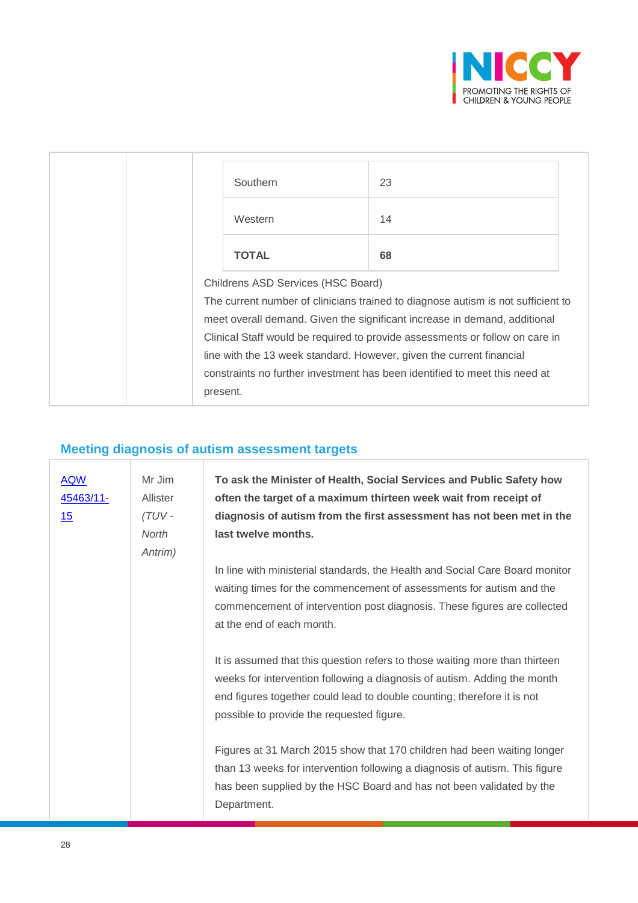

| Southern                                                                     | 23                                                                               |  |
|------------------------------------------------------------------------------|----------------------------------------------------------------------------------|--|
| Western                                                                      | 14                                                                               |  |
| <b>TOTAL</b>                                                                 | 68                                                                               |  |
| Childrens ASD Services (HSC Board)                                           |                                                                                  |  |
|                                                                              | The current number of clinicians trained to diagnose autism is not sufficient to |  |
| meet overall demand. Given the significant increase in demand, additional    |                                                                                  |  |
| Clinical Staff would be required to provide assessments or follow on care in |                                                                                  |  |
|                                                                              | line with the 13 week standard. However, given the current financial             |  |
|                                                                              | constraints no further investment has been identified to meet this need at       |  |
| present.                                                                     |                                                                                  |  |

## **Meeting diagnosis of autism assessment targets**

| <b>AQW</b><br>45463/11-<br>15 | Mr Jim<br>Allister<br>$(TUV -$<br><b>North</b> | To ask the Minister of Health, Social Services and Public Safety how<br>often the target of a maximum thirteen week wait from receipt of<br>diagnosis of autism from the first assessment has not been met in the<br>last twelve months.                                        |
|-------------------------------|------------------------------------------------|---------------------------------------------------------------------------------------------------------------------------------------------------------------------------------------------------------------------------------------------------------------------------------|
|                               | Antrim)                                        |                                                                                                                                                                                                                                                                                 |
|                               |                                                | In line with ministerial standards, the Health and Social Care Board monitor<br>waiting times for the commencement of assessments for autism and the<br>commencement of intervention post diagnosis. These figures are collected<br>at the end of each month.                   |
|                               |                                                | It is assumed that this question refers to those waiting more than thirteen<br>weeks for intervention following a diagnosis of autism. Adding the month<br>end figures together could lead to double counting; therefore it is not<br>possible to provide the requested figure. |
|                               |                                                | Figures at 31 March 2015 show that 170 children had been waiting longer<br>than 13 weeks for intervention following a diagnosis of autism. This figure<br>has been supplied by the HSC Board and has not been validated by the<br>Department.                                   |

ľ